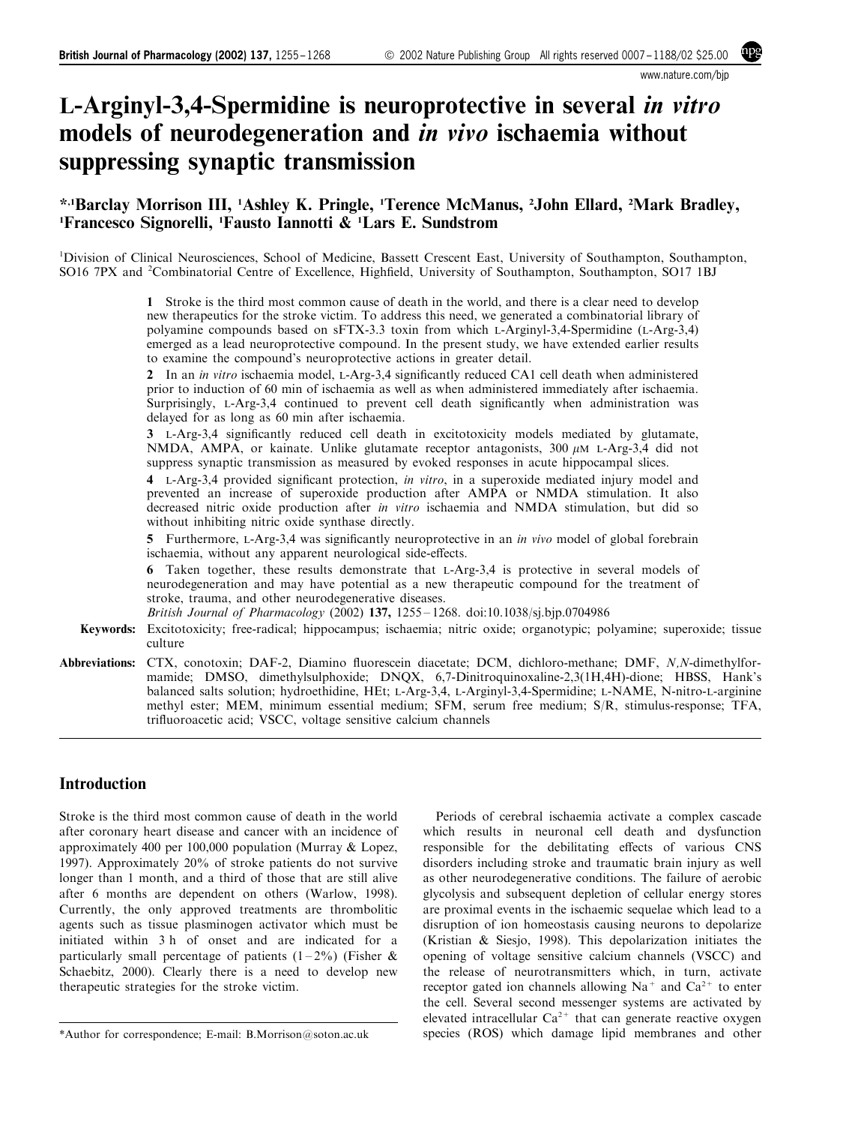www.nature.com/bjp

# L-Arginyl-3,4-Spermidine is neuroprotective in several in vitro models of neurodegeneration and in vivo ischaemia without suppressing synaptic transmission

# \*,1Barclay Morrison III, <sup>1</sup> Ashley K. Pringle, <sup>1</sup> Terence McManus, <sup>2</sup> John Ellard, <sup>2</sup> Mark Bradley, <sup>1</sup>Francesco Signorelli, <sup>1</sup>Fausto Iannotti & <sup>1</sup>Lars E. Sundstrom

<sup>1</sup>Division of Clinical Neurosciences, School of Medicine, Bassett Crescent East, University of Southampton, Southampton, SO16 7PX and <sup>2</sup>Combinatorial Centre of Excellence, Highfield, University of Southampton, Southampton, SO17 1BJ

> 1 Stroke is the third most common cause of death in the world, and there is a clear need to develop new therapeutics for the stroke victim. To address this need, we generated a combinatorial library of polyamine compounds based on sFTX-3.3 toxin from which L-Arginyl-3,4-Spermidine (L-Arg-3,4) emerged as a lead neuroprotective compound. In the present study, we have extended earlier results to examine the compound's neuroprotective actions in greater detail.

> 2 In an *in vitro* ischaemia model, L-Arg-3,4 significantly reduced CA1 cell death when administered prior to induction of 60 min of ischaemia as well as when administered immediately after ischaemia. Surprisingly, L-Arg-3,4 continued to prevent cell death significantly when administration was delayed for as long as 60 min after ischaemia.

> 3 L-Arg-3.4 significantly reduced cell death in excitotoxicity models mediated by glutamate, NMDA, AMPA, or kainate. Unlike glutamate receptor antagonists, 300  $\mu$ M L-Arg-3,4 did not suppress synaptic transmission as measured by evoked responses in acute hippocampal slices.

> 4 L-Arg-3,4 provided significant protection, in vitro, in a superoxide mediated injury model and prevented an increase of superoxide production after AMPA or NMDA stimulation. It also decreased nitric oxide production after in vitro ischaemia and NMDA stimulation, but did so without inhibiting nitric oxide synthase directly.

> 5 Furthermore, L-Arg-3,4 was significantly neuroprotective in an *in vivo* model of global forebrain ischaemia, without any apparent neurological side-effects.

> 6 Taken together, these results demonstrate that L-Arg-3,4 is protective in several models of neurodegeneration and may have potential as a new therapeutic compound for the treatment of stroke, trauma, and other neurodegenerative diseases.

British Journal of Pharmacology (2002) 137, 1255 - 1268. doi:10.1038/sj.bjp.0704986

- Keywords: Excitotoxicity; free-radical; hippocampus; ischaemia; nitric oxide; organotypic; polyamine; superoxide; tissue culture
- Abbreviations: CTX, conotoxin; DAF-2, Diamino fluorescein diacetate; DCM, dichloro-methane; DMF, N,N-dimethylformamide; DMSO, dimethylsulphoxide; DNQX, 6,7-Dinitroquinoxaline-2,3(1H,4H)-dione; HBSS, Hank's balanced salts solution; hydroethidine, HEt; L-Arg-3,4, L-Arginyl-3,4-Spermidine; L-NAME, N-nitro-L-arginine methyl ester; MEM, minimum essential medium; SFM, serum free medium; S/R, stimulus-response; TFA, trifluoroacetic acid; VSCC, voltage sensitive calcium channels

# Introduction

Stroke is the third most common cause of death in the world after coronary heart disease and cancer with an incidence of approximately 400 per 100,000 population [\(Murray & Lopez,](#page-12-0) [1997\)](#page-12-0). Approximately 20% of stroke patients do not survive longer than 1 month, and a third of those that are still alive after 6 months are dependent on others [\(Warlow, 1998\)](#page-12-0). Currently, the only approved treatments are thrombolitic agents such as tissue plasminogen activator which must be initiated within 3 h of onset and are indicated for a particularly small percentage of patients  $(1-2\%)$  ([Fisher &](#page-12-0) [Schaebitz, 2000](#page-12-0)). Clearly there is a need to develop new therapeutic strategies for the stroke victim.

\*Author for correspondence; E-mail: B.Morrison@soton.ac.uk

Periods of cerebral ischaemia activate a complex cascade which results in neuronal cell death and dysfunction responsible for the debilitating effects of various CNS disorders including stroke and traumatic brain injury as well as other neurodegenerative conditions. The failure of aerobic glycolysis and subsequent depletion of cellular energy stores are proximal events in the ischaemic sequelae which lead to a disruption of ion homeostasis causing neurons to depolarize ([Kristian & Siesjo, 1998](#page-12-0)). This depolarization initiates the opening of voltage sensitive calcium channels (VSCC) and the release of neurotransmitters which, in turn, activate receptor gated ion channels allowing  $Na<sup>+</sup>$  and  $Ca<sup>2+</sup>$  to enter the cell. Several second messenger systems are activated by elevated intracellular  $Ca^{2+}$  that can generate reactive oxygen species (ROS) which damage lipid membranes and other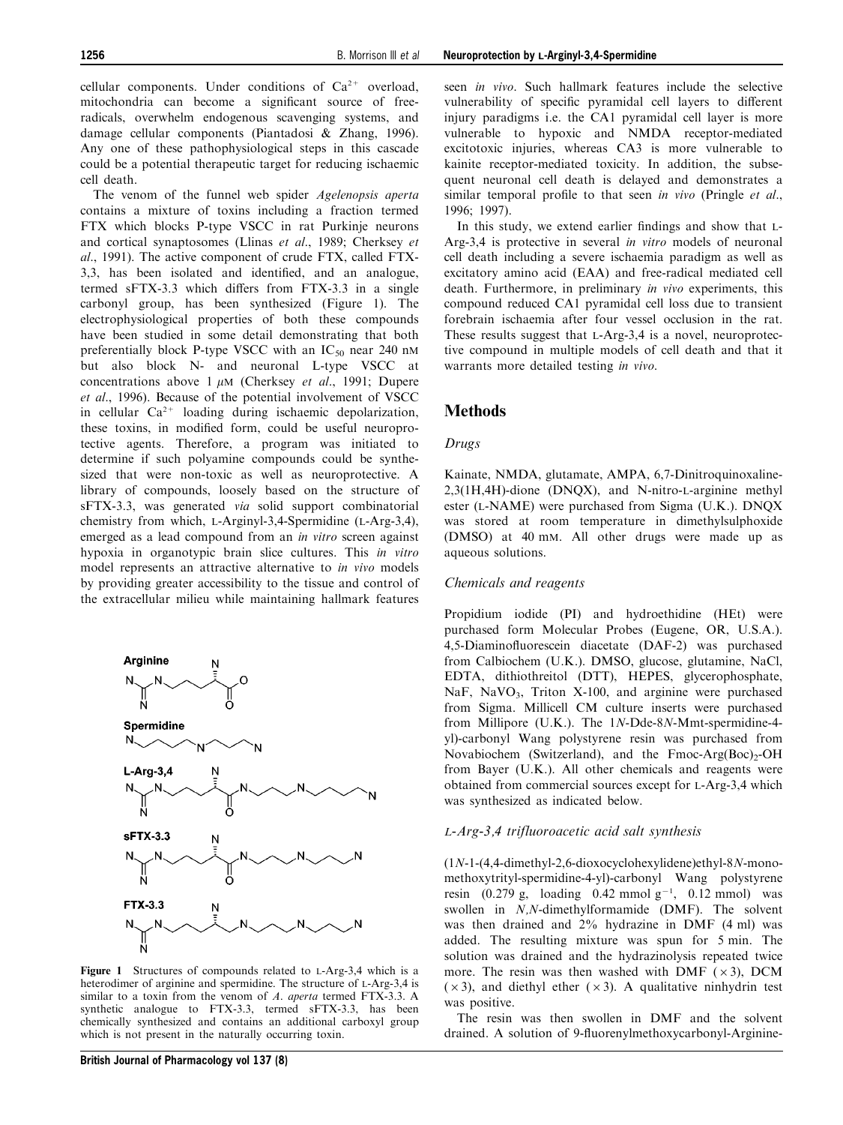cellular components. Under conditions of  $Ca^{2+}$  overload, mitochondria can become a significant source of freeradicals, overwhelm endogenous scavenging systems, and damage cellular components ([Piantadosi & Zhang, 1996](#page-12-0)). Any one of these pathophysiological steps in this cascade could be a potential therapeutic target for reducing ischaemic cell death.

The venom of the funnel web spider *Agelenopsis aperta* contains a mixture of toxins including a fraction termed FTX which blocks P-type VSCC in rat Purkinje neurons and cortical synaptosomes [\(Llinas](#page-12-0) [et al](#page-12-0)[., 1989](#page-12-0); [Cherksey](#page-12-0) [et](#page-12-0) [al](#page-12-0)[., 1991\)](#page-12-0). The active component of crude FTX, called FTX-3,3, has been isolated and identified, and an analogue, termed  $sFTX-3.3$  which differs from  $FTX-3.3$  in a single carbonyl group, has been synthesized (Figure 1). The electrophysiological properties of both these compounds have been studied in some detail demonstrating that both preferentially block P-type VSCC with an  $IC_{50}$  near 240 nM but also block N- and neuronal L-type VSCC at concentrations above 1  $\mu$ M [\(Cherksey](#page-12-0) [et al](#page-12-0)[., 1991; Dupere](#page-12-0) [et al](#page-12-0)[., 1996\)](#page-12-0). Because of the potential involvement of VSCC in cellular  $Ca^{2+}$  loading during ischaemic depolarization, these toxins, in modified form, could be useful neuroprotective agents. Therefore, a program was initiated to determine if such polyamine compounds could be synthesized that were non-toxic as well as neuroprotective. A library of compounds, loosely based on the structure of sFTX-3.3, was generated via solid support combinatorial chemistry from which, L-Arginyl-3,4-Spermidine (L-Arg-3,4), emerged as a lead compound from an in vitro screen against hypoxia in organotypic brain slice cultures. This in vitro model represents an attractive alternative to in vivo models by providing greater accessibility to the tissue and control of the extracellular milieu while maintaining hallmark features



Figure 1 Structures of compounds related to L-Arg-3,4 which is a heterodimer of arginine and spermidine. The structure of L-Arg-3,4 is similar to a toxin from the venom of A. aperta termed FTX-3.3. A synthetic analogue to FTX-3.3, termed sFTX-3.3, has been chemically synthesized and contains an additional carboxyl group which is not present in the naturally occurring toxin.

seen *in vivo*. Such hallmark features include the selective vulnerability of specific pyramidal cell layers to different injury paradigms i.e. the CA1 pyramidal cell layer is more vulnerable to hypoxic and NMDA receptor-mediated excitotoxic injuries, whereas CA3 is more vulnerable to kainite receptor-mediated toxicity. In addition, the subsequent neuronal cell death is delayed and demonstrates a similar temporal profile to that seen in vivo [\(Pringle](#page-12-0)  $et$   $al$ . [1996; 1997](#page-12-0)).

In this study, we extend earlier findings and show that L-Arg-3,4 is protective in several in vitro models of neuronal cell death including a severe ischaemia paradigm as well as excitatory amino acid (EAA) and free-radical mediated cell death. Furthermore, in preliminary in vivo experiments, this compound reduced CA1 pyramidal cell loss due to transient forebrain ischaemia after four vessel occlusion in the rat. These results suggest that L-Arg-3,4 is a novel, neuroprotective compound in multiple models of cell death and that it warrants more detailed testing in vivo.

## **Methods**

#### Drugs

Kainate, NMDA, glutamate, AMPA, 6,7-Dinitroquinoxaline-2,3(1H,4H)-dione (DNQX), and N-nitro-L-arginine methyl ester (L-NAME) were purchased from Sigma (U.K.). DNQX was stored at room temperature in dimethylsulphoxide (DMSO) at 40 mM. All other drugs were made up as aqueous solutions.

## Chemicals and reagents

Propidium iodide (PI) and hydroethidine (HEt) were purchased form Molecular Probes (Eugene, OR, U.S.A.). 4,5-Diaminofluorescein diacetate (DAF-2) was purchased from Calbiochem (U.K.). DMSO, glucose, glutamine, NaCl, EDTA, dithiothreitol (DTT), HEPES, glycerophosphate, NaF, NaVO<sub>3</sub>, Triton X-100, and arginine were purchased from Sigma. Millicell CM culture inserts were purchased from Millipore (U.K.). The 1N-Dde-8N-Mmt-spermidine-4 yl)-carbonyl Wang polystyrene resin was purchased from Novabiochem (Switzerland), and the  $Fmoc-Arg(Boc)<sub>2</sub>-OH$ from Bayer (U.K.). All other chemicals and reagents were obtained from commercial sources except for L-Arg-3,4 which was synthesized as indicated below.

#### L-Arg-3,4 trifluoroacetic acid salt synthesis

(1N-1-(4,4-dimethyl-2,6-dioxocyclohexylidene)ethyl-8N-monomethoxytrityl-spermidine-4-yl)-carbonyl Wang polystyrene resin  $(0.279 \text{ g}, \text{loading } 0.42 \text{ mmol g}^{-1}, 0.12 \text{ mmol})$  was swollen in N,N-dimethylformamide (DMF). The solvent was then drained and 2% hydrazine in DMF (4 ml) was added. The resulting mixture was spun for 5 min. The solution was drained and the hydrazinolysis repeated twice more. The resin was then washed with DMF  $(x3)$ , DCM  $(x3)$ , and diethyl ether  $(x3)$ . A qualitative ninhydrin test was positive.

The resin was then swollen in DMF and the solvent drained. A solution of 9-fluorenylmethoxycarbonyl-Arginine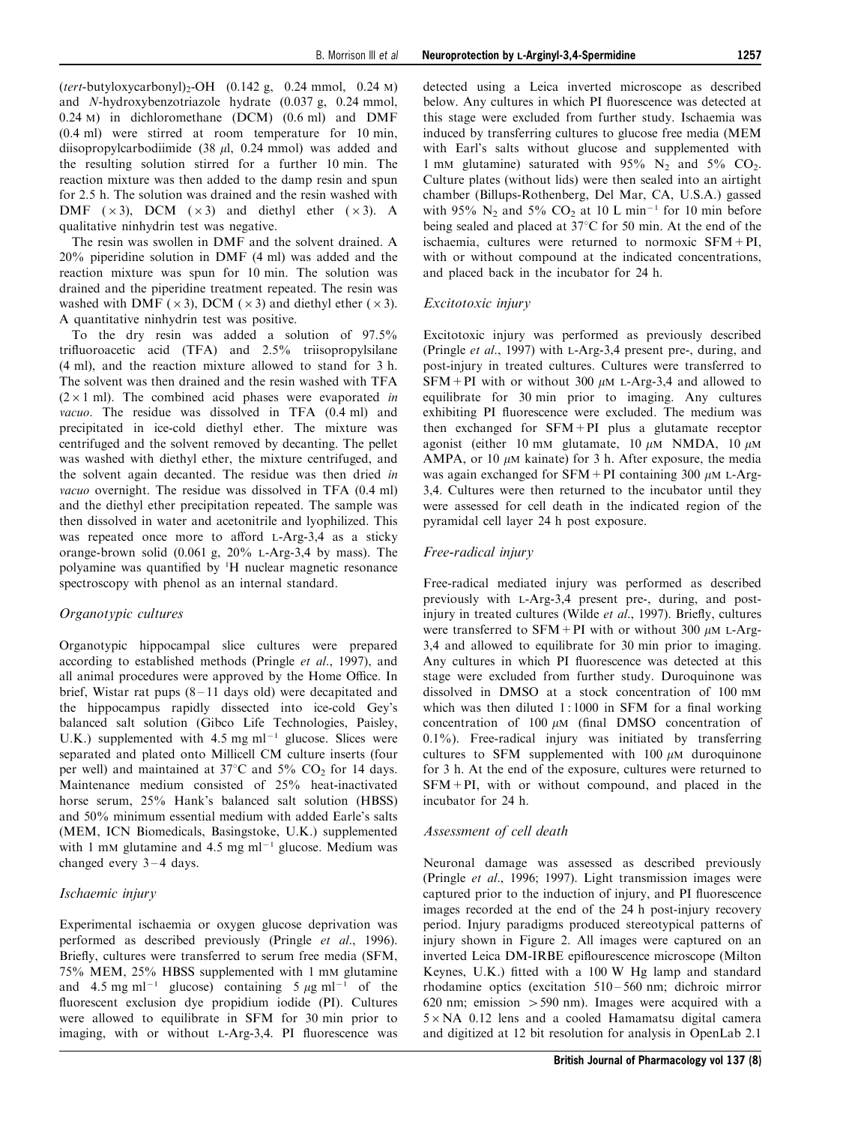$(tert$ -butyloxycarbonyl)<sub>2</sub>-OH  $(0.142 \text{ g}, 0.24 \text{ mmol}, 0.24 \text{ m})$ and N-hydroxybenzotriazole hydrate (0.037 g, 0.24 mmol, 0.24 M) in dichloromethane (DCM) (0.6 ml) and DMF (0.4 ml) were stirred at room temperature for 10 min, diisopropylcarbodiimide (38  $\mu$ l, 0.24 mmol) was added and the resulting solution stirred for a further 10 min. The reaction mixture was then added to the damp resin and spun for 2.5 h. The solution was drained and the resin washed with DMF  $(x3)$ , DCM  $(x3)$  and diethyl ether  $(x3)$ . A qualitative ninhydrin test was negative.

The resin was swollen in DMF and the solvent drained. A 20% piperidine solution in DMF (4 ml) was added and the reaction mixture was spun for 10 min. The solution was drained and the piperidine treatment repeated. The resin was washed with DMF ( $\times$ 3), DCM ( $\times$ 3) and diethyl ether ( $\times$ 3). A quantitative ninhydrin test was positive.

To the dry resin was added a solution of 97.5% trifluoroacetic acid  $(TFA)$  and  $2.5\%$  triisopropylsilane (4 ml), and the reaction mixture allowed to stand for 3 h. The solvent was then drained and the resin washed with TFA  $(2 \times 1$  ml). The combined acid phases were evaporated in vacuo. The residue was dissolved in TFA (0.4 ml) and precipitated in ice-cold diethyl ether. The mixture was centrifuged and the solvent removed by decanting. The pellet was washed with diethyl ether, the mixture centrifuged, and the solvent again decanted. The residue was then dried in vacuo overnight. The residue was dissolved in TFA (0.4 ml) and the diethyl ether precipitation repeated. The sample was then dissolved in water and acetonitrile and lyophilized. This was repeated once more to afford L-Arg-3.4 as a sticky orange-brown solid  $(0.061 \text{ g}, 20\%$  L-Arg-3,4 by mass). The polyamine was quantified by <sup>1</sup>H nuclear magnetic resonance spectroscopy with phenol as an internal standard.

#### Organotypic cultures

Organotypic hippocampal slice cultures were prepared according to established methods [\(Pringle](#page-12-0) [et al](#page-12-0)[., 1997](#page-12-0)), and all animal procedures were approved by the Home Office. In brief, Wistar rat pups  $(8 - 11)$  days old) were decapitated and the hippocampus rapidly dissected into ice-cold Gey's balanced salt solution (Gibco Life Technologies, Paisley, U.K.) supplemented with  $4.5$  mg m $l^{-1}$  glucose. Slices were separated and plated onto Millicell CM culture inserts (four per well) and maintained at  $37^{\circ}$ C and  $5\%$  CO<sub>2</sub> for 14 days. Maintenance medium consisted of 25% heat-inactivated horse serum, 25% Hank's balanced salt solution (HBSS) and 50% minimum essential medium with added Earle's salts (MEM, ICN Biomedicals, Basingstoke, U.K.) supplemented with 1 mM glutamine and 4.5 mg  $ml^{-1}$  glucose. Medium was changed every  $3 - 4$  days.

## Ischaemic injury

Experimental ischaemia or oxygen glucose deprivation was performed as described previously [\(Pringle](#page-12-0) [et al](#page-12-0)[., 1996\)](#page-12-0). Briefly, cultures were transferred to serum free media (SFM, 75% MEM, 25% HBSS supplemented with 1 mM glutamine and 4.5 mg ml<sup>-1</sup> glucose) containing 5  $\mu$ g ml<sup>-1</sup> of the fluorescent exclusion dye propidium iodide (PI). Cultures were allowed to equilibrate in SFM for 30 min prior to imaging, with or without L-Arg-3,4. PI fluorescence was

detected using a Leica inverted microscope as described below. Any cultures in which PI fluorescence was detected at this stage were excluded from further study. Ischaemia was induced by transferring cultures to glucose free media (MEM with Earl's salts without glucose and supplemented with 1 mM glutamine) saturated with  $95\%$  N<sub>2</sub> and  $5\%$  CO<sub>2</sub>. Culture plates (without lids) were then sealed into an airtight chamber (Billups-Rothenberg, Del Mar, CA, U.S.A.) gassed with 95% N<sub>2</sub> and 5% CO<sub>2</sub> at 10 L min<sup>-1</sup> for 10 min before being sealed and placed at  $37^{\circ}$ C for 50 min. At the end of the ischaemia, cultures were returned to normoxic SFM+PI, with or without compound at the indicated concentrations, and placed back in the incubator for 24 h.

#### Excitotoxic injury

Excitotoxic injury was performed as previously described ([Pringle](#page-12-0) [et al](#page-12-0)[., 1997\)](#page-12-0) with L-Arg-3,4 present pre-, during, and post-injury in treated cultures. Cultures were transferred to SFM+PI with or without 300  $\mu$ M L-Arg-3,4 and allowed to equilibrate for 30 min prior to imaging. Any cultures exhibiting PI fluorescence were excluded. The medium was then exchanged for  $SFM+PI$  plus a glutamate receptor agonist (either 10 mM glutamate, 10  $\mu$ M NMDA, 10  $\mu$ M AMPA, or 10  $\mu$ M kainate) for 3 h. After exposure, the media was again exchanged for  $SFM+PI$  containing 300  $\mu$ M L-Arg-3,4. Cultures were then returned to the incubator until they were assessed for cell death in the indicated region of the pyramidal cell layer 24 h post exposure.

## Free-radical injury

Free-radical mediated injury was performed as described previously with L-Arg-3,4 present pre-, during, and post-injury in treated cultures ([Wilde](#page-13-0)  $et$  al[., 1997\)](#page-13-0). Briefly, cultures were transferred to  $SFM + PI$  with or without 300  $\mu$ M L-Arg-3,4 and allowed to equilibrate for 30 min prior to imaging. Any cultures in which PI fluorescence was detected at this stage were excluded from further study. Duroquinone was dissolved in DMSO at a stock concentration of 100 mM which was then diluted  $1:1000$  in SFM for a final working concentration of 100  $\mu$ M (final DMSO concentration of  $0.1\%$ ). Free-radical injury was initiated by transferring cultures to SFM supplemented with  $100 \mu M$  duroquinone for 3 h. At the end of the exposure, cultures were returned to  $SFM+PI$ , with or without compound, and placed in the incubator for 24 h.

#### Assessment of cell death

Neuronal damage was assessed as described previously ([Pringle](#page-12-0) [et al](#page-12-0)[., 1996](#page-12-0); [1997\)](#page-12-0). Light transmission images were captured prior to the induction of injury, and PI fluorescence images recorded at the end of the 24 h post-injury recovery period. Injury paradigms produced stereotypical patterns of injury shown in [Figure 2.](#page-3-0) All images were captured on an inverted Leica DM-IRBE epiflourescence microscope (Milton Keynes, U.K.) fitted with a 100 W Hg lamp and standard rhodamine optics (excitation  $510 - 560$  nm; dichroic mirror 620 nm; emission  $>$  590 nm). Images were acquired with a  $5 \times NA$  0.12 lens and a cooled Hamamatsu digital camera and digitized at 12 bit resolution for analysis in OpenLab 2.1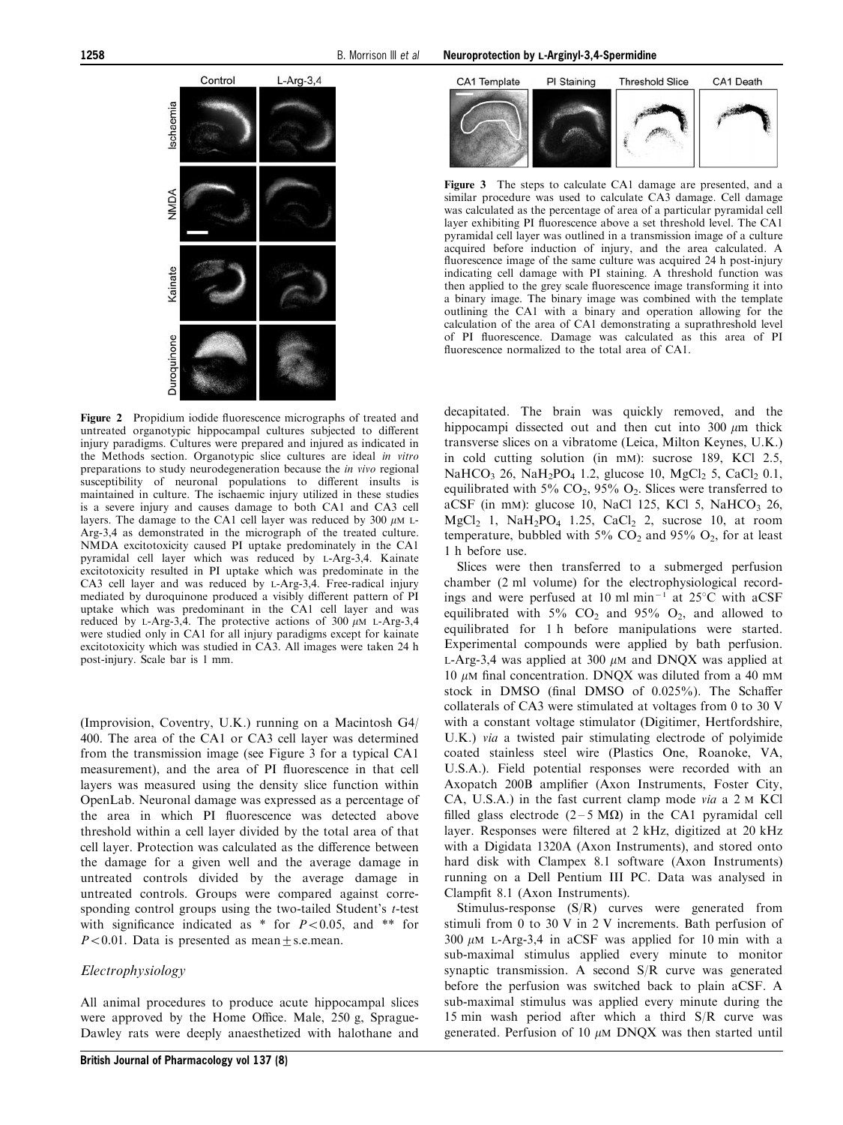<span id="page-3-0"></span>

Figure 2 Propidium iodide fluorescence micrographs of treated and untreated organotypic hippocampal cultures subjected to different injury paradigms. Cultures were prepared and injured as indicated in the Methods section. Organotypic slice cultures are ideal in vitro preparations to study neurodegeneration because the in vivo regional susceptibility of neuronal populations to different insults is maintained in culture. The ischaemic injury utilized in these studies is a severe injury and causes damage to both CA1 and CA3 cell layers. The damage to the CA1 cell layer was reduced by 300  $\mu$ M L-Arg-3,4 as demonstrated in the micrograph of the treated culture. NMDA excitotoxicity caused PI uptake predominately in the CA1 pyramidal cell layer which was reduced by L-Arg-3,4. Kainate excitotoxicity resulted in PI uptake which was predominate in the CA3 cell layer and was reduced by L-Arg-3,4. Free-radical injury mediated by duroquinone produced a visibly different pattern of PI uptake which was predominant in the CA1 cell layer and was reduced by L-Arg-3,4. The protective actions of 300  $\mu$ M L-Arg-3,4 were studied only in CA1 for all injury paradigms except for kainate excitotoxicity which was studied in CA3. All images were taken 24 h post-injury. Scale bar is 1 mm.

(Improvision, Coventry, U.K.) running on a Macintosh G4/ 400. The area of the CA1 or CA3 cell layer was determined from the transmission image (see Figure 3 for a typical CA1 measurement), and the area of PI fluorescence in that cell layers was measured using the density slice function within OpenLab. Neuronal damage was expressed as a percentage of the area in which PI fluorescence was detected above threshold within a cell layer divided by the total area of that cell layer. Protection was calculated as the difference between the damage for a given well and the average damage in untreated controls divided by the average damage in untreated controls. Groups were compared against corresponding control groups using the two-tailed Student's t-test with significance indicated as \* for  $P<0.05$ , and \*\* for  $P<0.01$ . Data is presented as mean + s.e.mean.

#### Electrophysiology

All animal procedures to produce acute hippocampal slices were approved by the Home Office. Male, 250 g, Sprague-Dawley rats were deeply anaesthetized with halothane and



Figure 3 The steps to calculate CA1 damage are presented, and a similar procedure was used to calculate CA3 damage. Cell damage was calculated as the percentage of area of a particular pyramidal cell layer exhibiting  $PI$  fluorescence above a set threshold level. The CA1 pyramidal cell layer was outlined in a transmission image of a culture acquired before induction of injury, and the area calculated. A fluorescence image of the same culture was acquired 24 h post-injury indicating cell damage with PI staining. A threshold function was then applied to the grey scale fluorescence image transforming it into a binary image. The binary image was combined with the template outlining the CA1 with a binary and operation allowing for the calculation of the area of CA1 demonstrating a suprathreshold level of PI fluorescence. Damage was calculated as this area of PI fluorescence normalized to the total area of CA1.

decapitated. The brain was quickly removed, and the hippocampi dissected out and then cut into 300  $\mu$ m thick transverse slices on a vibratome (Leica, Milton Keynes, U.K.) in cold cutting solution (in mM): sucrose 189, KCl 2.5, NaHCO<sub>3</sub> 26, NaH<sub>2</sub>PO<sub>4</sub> 1.2, glucose 10, MgCl<sub>2</sub> 5, CaCl<sub>2</sub> 0.1, equilibrated with 5%  $CO<sub>2</sub>$ , 95%  $O<sub>2</sub>$ . Slices were transferred to aCSF (in mm): glucose 10, NaCl 125, KCl 5, NaHCO<sub>3</sub> 26, MgCl<sub>2</sub> 1, NaH<sub>2</sub>PO<sub>4</sub> 1.25, CaCl<sub>2</sub> 2, sucrose 10, at room temperature, bubbled with  $5\%$  CO<sub>2</sub> and  $95\%$  O<sub>2</sub>, for at least 1 h before use.

Slices were then transferred to a submerged perfusion chamber (2 ml volume) for the electrophysiological recordings and were perfused at 10 ml min<sup>-1</sup> at 25 $\degree$ C with aCSF equilibrated with  $5\%$  CO<sub>2</sub> and  $95\%$  O<sub>2</sub>, and allowed to equilibrated for 1 h before manipulations were started. Experimental compounds were applied by bath perfusion. L-Arg-3,4 was applied at 300  $\mu$ M and DNOX was applied at  $10 \mu$ M final concentration. DNOX was diluted from a 40 mM stock in DMSO (final DMSO of  $0.025\%$ ). The Schaffer collaterals of CA3 were stimulated at voltages from 0 to 30 V with a constant voltage stimulator (Digitimer, Hertfordshire, U.K.) via a twisted pair stimulating electrode of polyimide coated stainless steel wire (Plastics One, Roanoke, VA, U.S.A.). Field potential responses were recorded with an Axopatch 200B amplifier (Axon Instruments, Foster City, CA, U.S.A.) in the fast current clamp mode via a 2 M KCl filled glass electrode ( $2-5 \text{ M}\Omega$ ) in the CA1 pyramidal cell layer. Responses were filtered at 2 kHz, digitized at 20 kHz with a Digidata 1320A (Axon Instruments), and stored onto hard disk with Clampex 8.1 software (Axon Instruments) running on a Dell Pentium III PC. Data was analysed in Clampfit 8.1 (Axon Instruments).

Stimulus-response (S/R) curves were generated from stimuli from 0 to 30 V in 2 V increments. Bath perfusion of  $300 \mu M$  L-Arg-3,4 in aCSF was applied for 10 min with a sub-maximal stimulus applied every minute to monitor synaptic transmission. A second S/R curve was generated before the perfusion was switched back to plain aCSF. A sub-maximal stimulus was applied every minute during the 15 min wash period after which a third S/R curve was generated. Perfusion of 10  $\mu$ M DNQX was then started until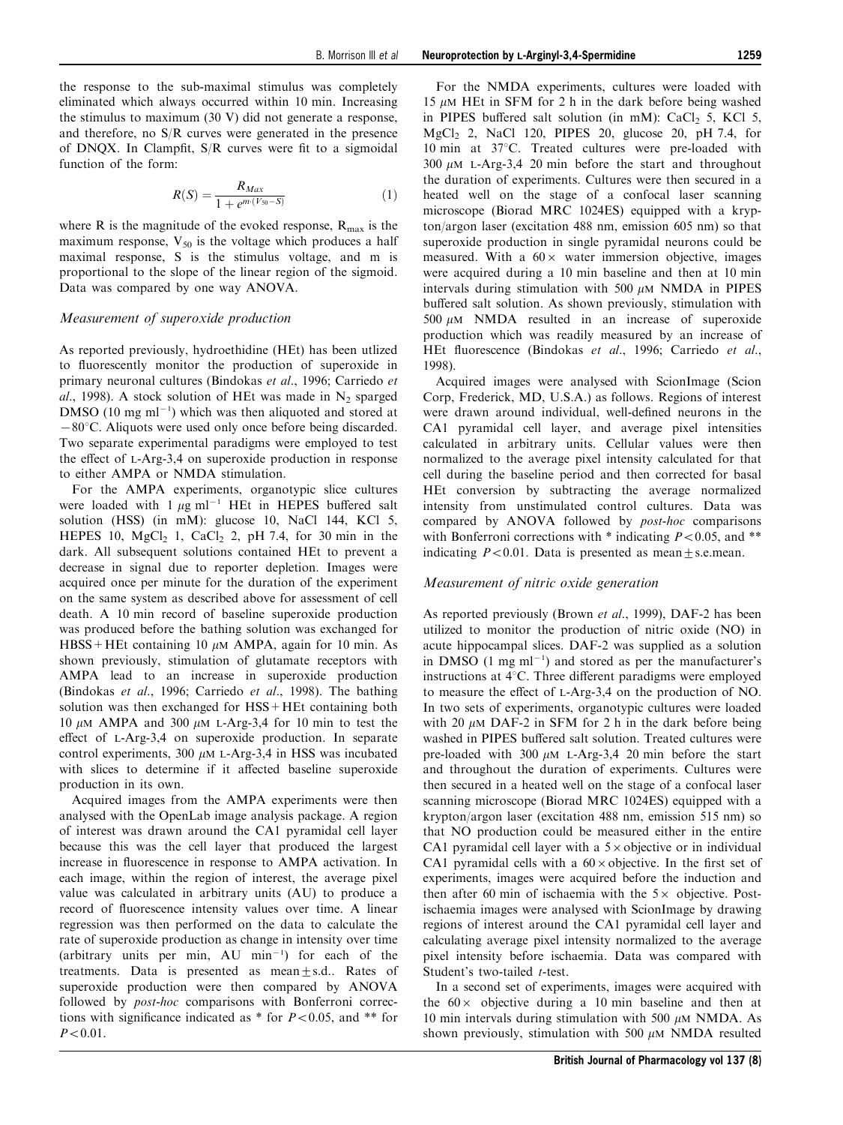the response to the sub-maximal stimulus was completely eliminated which always occurred within 10 min. Increasing the stimulus to maximum (30 V) did not generate a response, and therefore, no S/R curves were generated in the presence of DNQX. In Clampfit,  $S/R$  curves were fit to a sigmoidal

$$
R(S) = \frac{R_{Max}}{1 + e^{m \cdot (V_{50} - S)}}\tag{1}
$$

where R is the magnitude of the evoked response,  $R_{\text{max}}$  is the maximum response,  $V_{50}$  is the voltage which produces a half maximal response, S is the stimulus voltage, and m is proportional to the slope of the linear region of the sigmoid. Data was compared by one way ANOVA.

#### Measurement of superoxide production

function of the form:

As reported previously, hydroethidine (HEt) has been utlized to fluorescently monitor the production of superoxide in primary neuronal cultures [\(Bindokas](#page-12-0) [et al](#page-12-0)[., 1996](#page-12-0); [Carriedo](#page-12-0) [et](#page-12-0) [al](#page-12-0)[., 1998](#page-12-0)). A stock solution of HEt was made in  $N_2$  sparged  $DMSO$  (10 mg ml<sup>-1</sup>) which was then aliquoted and stored at  $-80^{\circ}$ C. Aliquots were used only once before being discarded. Two separate experimental paradigms were employed to test the effect of  $L-Arg-3,4$  on superoxide production in response to either AMPA or NMDA stimulation.

For the AMPA experiments, organotypic slice cultures were loaded with  $1 \mu g$  ml<sup>-1</sup> HEt in HEPES buffered salt solution (HSS) (in mM): glucose 10, NaCl 144, KCl 5, HEPES 10,  $MgCl<sub>2</sub>$  1, CaCl<sub>2</sub> 2, pH 7.4, for 30 min in the dark. All subsequent solutions contained HEt to prevent a decrease in signal due to reporter depletion. Images were acquired once per minute for the duration of the experiment on the same system as described above for assessment of cell death. A 10 min record of baseline superoxide production was produced before the bathing solution was exchanged for HBSS + HEt containing 10  $\mu$ M AMPA, again for 10 min. As shown previously, stimulation of glutamate receptors with AMPA lead to an increase in superoxide production ([Bindokas](#page-12-0) [et al](#page-12-0)[., 1996](#page-12-0); [Carriedo](#page-12-0) [et al](#page-12-0)[., 1998](#page-12-0)). The bathing solution was then exchanged for HSS+HEt containing both 10  $\mu$ M AMPA and 300  $\mu$ M L-Arg-3,4 for 10 min to test the effect of  $L-Arg-3,4$  on superoxide production. In separate control experiments,  $300 \mu M$  L-Arg-3.4 in HSS was incubated with slices to determine if it affected baseline superoxide production in its own.

Acquired images from the AMPA experiments were then analysed with the OpenLab image analysis package. A region of interest was drawn around the CA1 pyramidal cell layer because this was the cell layer that produced the largest increase in fluorescence in response to AMPA activation. In each image, within the region of interest, the average pixel value was calculated in arbitrary units (AU) to produce a record of fluorescence intensity values over time. A linear regression was then performed on the data to calculate the rate of superoxide production as change in intensity over time (arbitrary units per min,  $AU$  min<sup>-1</sup>) for each of the treatments. Data is presented as mean+s.d.. Rates of superoxide production were then compared by ANOVA followed by *post-hoc* comparisons with Bonferroni corrections with significance indicated as  $*$  for  $P<0.05$ , and  $**$  for  $P < 0.01$ .

For the NMDA experiments, cultures were loaded with 15  $\mu$ M HEt in SFM for 2 h in the dark before being washed in PIPES buffered salt solution (in mM):  $CaCl<sub>2</sub>$  5, KCl 5, MgCl<sub>2</sub> 2, NaCl 120, PIPES 20, glucose 20, pH 7.4, for 10 min at 37°C. Treated cultures were pre-loaded with  $300 \mu M$  L-Arg-3,4 20 min before the start and throughout the duration of experiments. Cultures were then secured in a heated well on the stage of a confocal laser scanning microscope (Biorad MRC 1024ES) equipped with a krypton/argon laser (excitation 488 nm, emission 605 nm) so that superoxide production in single pyramidal neurons could be measured. With a  $60 \times$  water immersion objective, images were acquired during a 10 min baseline and then at 10 min intervals during stimulation with 500  $\mu$ M NMDA in PIPES buffered salt solution. As shown previously, stimulation with 500  $\mu$ M NMDA resulted in an increase of superoxide production which was readily measured by an increase of HEt fluorescence ([Bindokas](#page-12-0) [et al](#page-12-0)[., 1996; Carriedo](#page-12-0) et al[.,](#page-12-0) [1998\)](#page-12-0).

Acquired images were analysed with ScionImage (Scion Corp, Frederick, MD, U.S.A.) as follows. Regions of interest were drawn around individual, well-defined neurons in the CA1 pyramidal cell layer, and average pixel intensities calculated in arbitrary units. Cellular values were then normalized to the average pixel intensity calculated for that cell during the baseline period and then corrected for basal HEt conversion by subtracting the average normalized intensity from unstimulated control cultures. Data was compared by ANOVA followed by post-hoc comparisons with Bonferroni corrections with  $*$  indicating  $P<0.05$ , and  $**$ indicating  $P<0.01$ . Data is presented as mean+s.e.mean.

#### Measurement of nitric oxide generation

As reported previously ([Brown](#page-12-0) [et al](#page-12-0)[., 1999](#page-12-0)), DAF-2 has been utilized to monitor the production of nitric oxide (NO) in acute hippocampal slices. DAF-2 was supplied as a solution in DMSO  $(1 \text{ mg ml}^{-1})$  and stored as per the manufacturer's instructions at  $4^{\circ}$ C. Three different paradigms were employed to measure the effect of L-Arg-3,4 on the production of NO. In two sets of experiments, organotypic cultures were loaded with 20  $\mu$ M DAF-2 in SFM for 2 h in the dark before being washed in PIPES buffered salt solution. Treated cultures were pre-loaded with  $300 \mu M$  L-Arg-3,4 20 min before the start and throughout the duration of experiments. Cultures were then secured in a heated well on the stage of a confocal laser scanning microscope (Biorad MRC 1024ES) equipped with a krypton/argon laser (excitation 488 nm, emission 515 nm) so that NO production could be measured either in the entire CA1 pyramidal cell layer with a  $5 \times$  objective or in individual CA1 pyramidal cells with a  $60 \times$  objective. In the first set of experiments, images were acquired before the induction and then after 60 min of ischaemia with the  $5 \times$  objective. Postischaemia images were analysed with ScionImage by drawing regions of interest around the CA1 pyramidal cell layer and calculating average pixel intensity normalized to the average pixel intensity before ischaemia. Data was compared with Student's two-tailed t-test.

In a second set of experiments, images were acquired with the  $60 \times$  objective during a 10 min baseline and then at 10 min intervals during stimulation with 500  $\mu$ M NMDA. As shown previously, stimulation with 500  $\mu$ M NMDA resulted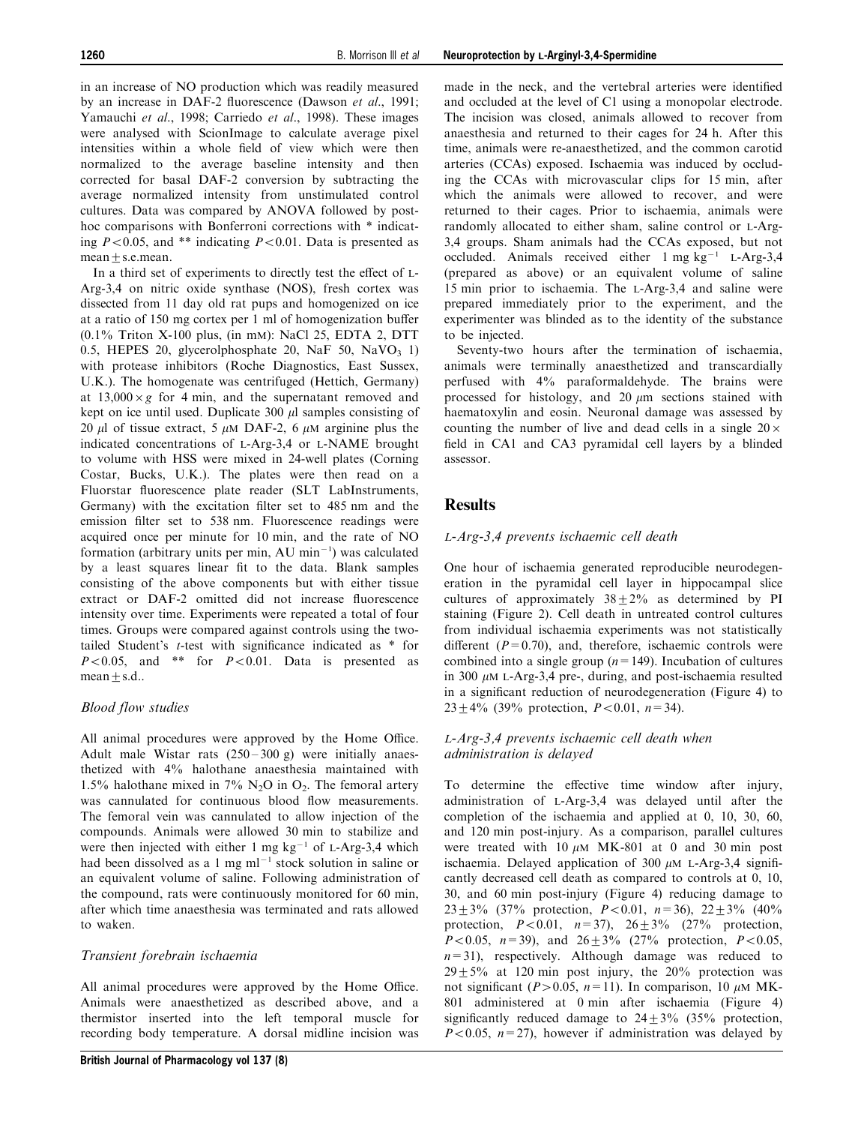in an increase of NO production which was readily measured by an increase in DAF-2 fluorescence ([Dawson](#page-12-0) [et al](#page-12-0)[., 1991](#page-12-0); [Yamauchi](#page-13-0) [et al](#page-13-0)[., 1998;](#page-13-0) [Carriedo](#page-12-0) [et al](#page-12-0)[., 1998](#page-12-0)). These images were analysed with ScionImage to calculate average pixel intensities within a whole field of view which were then normalized to the average baseline intensity and then corrected for basal DAF-2 conversion by subtracting the average normalized intensity from unstimulated control cultures. Data was compared by ANOVA followed by posthoc comparisons with Bonferroni corrections with \* indicating  $P<0.05$ , and \*\* indicating  $P<0.01$ . Data is presented as mean+s.e.mean.

In a third set of experiments to directly test the effect of L-Arg-3,4 on nitric oxide synthase (NOS), fresh cortex was dissected from 11 day old rat pups and homogenized on ice at a ratio of 150 mg cortex per 1 ml of homogenization buffer (0.1% Triton X-100 plus, (in mM): NaCl 25, EDTA 2, DTT 0.5, HEPES 20, glycerolphosphate 20, NaF 50, NaVO<sub>3</sub> 1) with protease inhibitors (Roche Diagnostics, East Sussex, U.K.). The homogenate was centrifuged (Hettich, Germany) at  $13,000 \times g$  for 4 min, and the supernatant removed and kept on ice until used. Duplicate 300 *u*l samples consisting of 20  $\mu$ l of tissue extract, 5  $\mu$ M DAF-2, 6  $\mu$ M arginine plus the indicated concentrations of L-Arg-3,4 or L-NAME brought to volume with HSS were mixed in 24-well plates (Corning Costar, Bucks, U.K.). The plates were then read on a Fluorstar fluorescence plate reader (SLT LabInstruments, Germany) with the excitation filter set to 485 nm and the emission filter set to 538 nm. Fluorescence readings were acquired once per minute for 10 min, and the rate of NO formation (arbitrary units per min,  $AU$  min<sup>-1</sup>) was calculated by a least squares linear fit to the data. Blank samples consisting of the above components but with either tissue extract or DAF-2 omitted did not increase fluorescence intensity over time. Experiments were repeated a total of four times. Groups were compared against controls using the twotailed Student's  $t$ -test with significance indicated as  $*$  for  $P<0.05$ , and \*\* for  $P<0.01$ . Data is presented as  $mean \pm s.d..$ 

#### Blood flow studies

All animal procedures were approved by the Home Office. Adult male Wistar rats  $(250-300 \text{ g})$  were initially anaesthetized with 4% halothane anaesthesia maintained with 1.5% halothane mixed in 7%  $N_2O$  in  $O_2$ . The femoral artery was cannulated for continuous blood flow measurements. The femoral vein was cannulated to allow injection of the compounds. Animals were allowed 30 min to stabilize and were then injected with either 1 mg  $kg^{-1}$  of L-Arg-3,4 which had been dissolved as a 1 mg  $ml^{-1}$  stock solution in saline or an equivalent volume of saline. Following administration of the compound, rats were continuously monitored for 60 min, after which time anaesthesia was terminated and rats allowed to waken.

## Transient forebrain ischaemia

All animal procedures were approved by the Home Office. Animals were anaesthetized as described above, and a thermistor inserted into the left temporal muscle for recording body temperature. A dorsal midline incision was made in the neck, and the vertebral arteries were identified and occluded at the level of C1 using a monopolar electrode. The incision was closed, animals allowed to recover from anaesthesia and returned to their cages for 24 h. After this time, animals were re-anaesthetized, and the common carotid arteries (CCAs) exposed. Ischaemia was induced by occluding the CCAs with microvascular clips for 15 min, after which the animals were allowed to recover, and were returned to their cages. Prior to ischaemia, animals were randomly allocated to either sham, saline control or L-Arg-3,4 groups. Sham animals had the CCAs exposed, but not occluded. Animals received either  $1 \text{ mg kg}^{-1}$  L-Arg-3,4 (prepared as above) or an equivalent volume of saline 15 min prior to ischaemia. The L-Arg-3,4 and saline were prepared immediately prior to the experiment, and the experimenter was blinded as to the identity of the substance to be injected.

Seventy-two hours after the termination of ischaemia, animals were terminally anaesthetized and transcardially perfused with 4% paraformaldehyde. The brains were processed for histology, and  $20 \mu m$  sections stained with haematoxylin and eosin. Neuronal damage was assessed by counting the number of live and dead cells in a single  $20 \times$ field in CA1 and CA3 pyramidal cell layers by a blinded assessor.

# **Results**

#### L-Arg-3,4 prevents ischaemic cell death

One hour of ischaemia generated reproducible neurodegeneration in the pyramidal cell layer in hippocampal slice cultures of approximately  $38 \pm 2\%$  as determined by PI staining [\(Figure 2\)](#page-3-0). Cell death in untreated control cultures from individual ischaemia experiments was not statistically different  $(P=0.70)$ , and, therefore, ischaemic controls were combined into a single group  $(n=149)$ . Incubation of cultures in 300  $\mu$ M L-Arg-3,4 pre-, during, and post-ischaemia resulted in a significant reduction of neurodegeneration [\(Figure 4](#page-6-0)) to 23 ± 4% (39% protection,  $P < 0.01$ ,  $n = 34$ ).

#### L-Arg-3,4 prevents ischaemic cell death when administration is delayed

To determine the effective time window after injury, administration of L-Arg-3,4 was delayed until after the completion of the ischaemia and applied at 0, 10, 30, 60, and 120 min post-injury. As a comparison, parallel cultures were treated with 10  $\mu$ M MK-801 at 0 and 30 min post ischaemia. Delayed application of 300  $\mu$ M L-Arg-3,4 significantly decreased cell death as compared to controls at 0, 10, 30, and 60 min post-injury (Figure 4) reducing damage to  $23 \pm 3\%$  (37% protection,  $P < 0.01$ ,  $n = 36$ ),  $22 \pm 3\%$  (40%) protection,  $P<0.01$ ,  $n=37$ ),  $26\pm3\%$  (27% protection,  $P<0.05$ ,  $n=39$ ), and  $26+3\%$  (27% protection,  $P<0.05$ ,  $n=31$ ), respectively. Although damage was reduced to  $29 + 5\%$  at 120 min post injury, the 20% protection was not significant (P > 0.05, n=11). In comparison, 10  $\mu$ M MK-801 administered at 0 min after ischaemia (Figure 4) significantly reduced damage to  $24+3\%$  (35% protection,  $P<0.05$ ,  $n=27$ ), however if administration was delayed by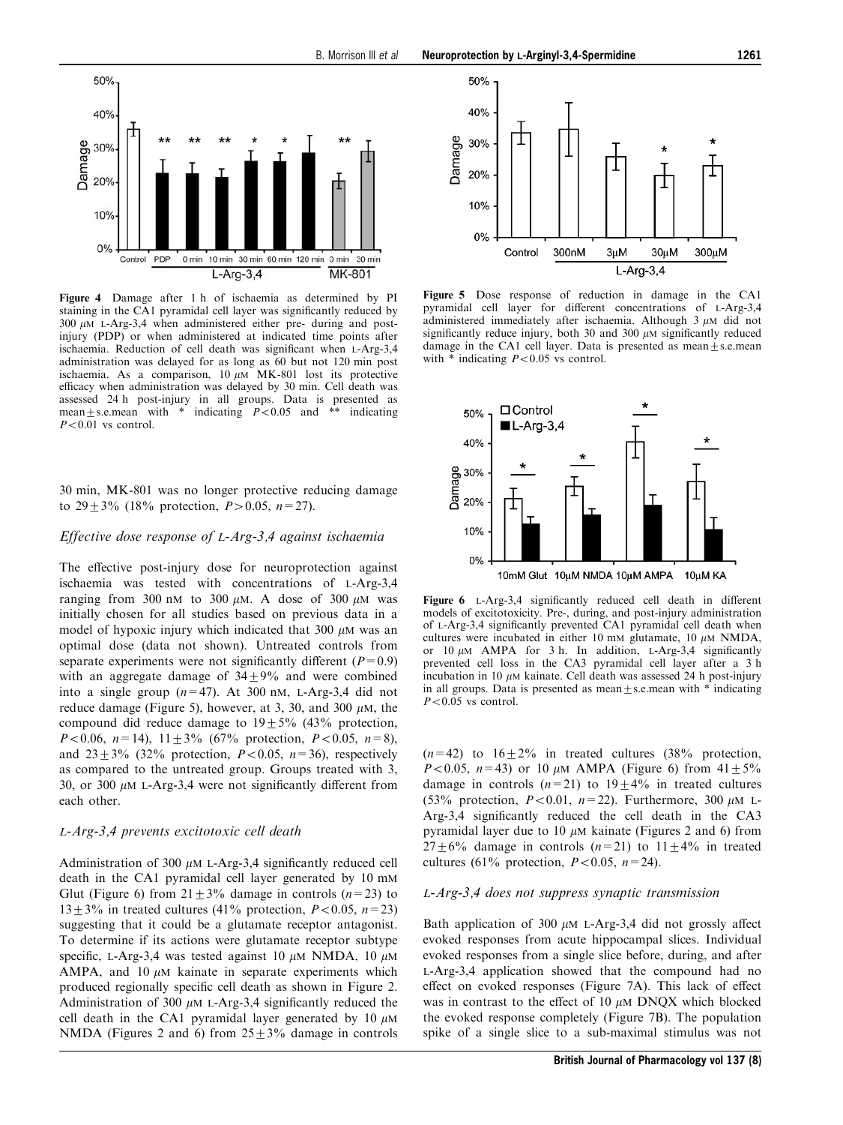<span id="page-6-0"></span>

Figure 4 Damage after 1 h of ischaemia as determined by PI staining in the CA1 pyramidal cell layer was significantly reduced by  $300 \mu M$  L-Arg-3,4 when administered either pre- during and postinjury (PDP) or when administered at indicated time points after ischaemia. Reduction of cell death was significant when L-Arg-3,4 administration was delayed for as long as 60 but not 120 min post ischaemia. As a comparison,  $10 \mu M$  MK-801 lost its protective efficacy when administration was delayed by 30 min. Cell death was assessed 24 h post-injury in all groups. Data is presented as mean  $\pm$  s.e.mean with \* indicating  $P < 0.05$  and \*\* indicating \* indicating  $\vec{P}$  < 0.05 and \*\* indicating  $P<0.01$  vs control.

30 min, MK-801 was no longer protective reducing damage to  $29+3\%$  (18% protection,  $P>0.05$ ,  $n=27$ ).

#### Effective dose response of L-Arg-3,4 against ischaemia

The effective post-injury dose for neuroprotection against ischaemia was tested with concentrations of L-Arg-3,4 ranging from 300 nM to 300  $\mu$ M. A dose of 300  $\mu$ M was initially chosen for all studies based on previous data in a model of hypoxic injury which indicated that  $300 \mu M$  was an optimal dose (data not shown). Untreated controls from separate experiments were not significantly different ( $P=0.9$ ) with an aggregate damage of  $34+9%$  and were combined into a single group  $(n=47)$ . At 300 nM, L-Arg-3,4 did not reduce damage (Figure 5), however, at 3, 30, and 300  $\mu$ M, the compound did reduce damage to  $19+5%$  (43% protection,  $P<0.06$ ,  $n=14$ ),  $11+3\%$  (67% protection,  $P<0.05$ ,  $n=8$ ), and  $23 \pm 3\%$  (32% protection,  $P<0.05$ ,  $n=36$ ), respectively as compared to the untreated group. Groups treated with 3, 30, or 300  $\mu$ M L-Arg-3,4 were not significantly different from each other.

#### L-Arg-3,4 prevents excitotoxic cell death

Administration of 300  $\mu$ M L-Arg-3,4 significantly reduced cell death in the CA1 pyramidal cell layer generated by 10 mM Glut (Figure 6) from  $21 \pm 3\%$  damage in controls (n=23) to  $13 \pm 3\%$  in treated cultures (41% protection,  $P < 0.05$ , n=23) suggesting that it could be a glutamate receptor antagonist. To determine if its actions were glutamate receptor subtype specific, L-Arg-3,4 was tested against 10  $\mu$ M NMDA, 10  $\mu$ M AMPA, and 10  $\mu$ M kainate in separate experiments which produced regionally specific cell death as shown in Figure 2. Administration of 300  $\mu$ M L-Arg-3,4 significantly reduced the cell death in the CA1 pyramidal layer generated by 10  $\mu$ M NMDA (Figures 2 and 6) from  $25 \pm 3\%$  damage in controls



Figure 5 Dose response of reduction in damage in the CA1 pyramidal cell layer for different concentrations of L-Arg-3,4 administered immediately after ischaemia. Although  $3 \mu$ M did not significantly reduce injury, both 30 and 300  $\mu$ M significantly reduced damage in the CA1 cell layer. Data is presented as mean $+$ s.e.mean with  $*$  indicating  $P<0.05$  vs control.



Figure 6 L-Arg-3,4 significantly reduced cell death in different models of excitotoxicity. Pre-, during, and post-injury administration of L-Arg-3,4 significantly prevented CA1 pyramidal cell death when cultures were incubated in either 10 mm glutamate, 10  $\mu$ M NMDA, or 10  $\mu$ M AMPA for 3 h. In addition, L-Arg-3,4 significantly prevented cell loss in the CA3 pyramidal cell layer after a 3 h incubation in 10  $\mu$ M kainate. Cell death was assessed 24 h post-injury in all groups. Data is presented as mean $\pm$ s.e.mean with  $*$  indicating  $P<0.05$  vs control.

 $(n=42)$  to  $16+2\%$  in treated cultures (38% protection,  $P<0.05$ ,  $n=43$ ) or 10  $\mu$ M AMPA (Figure 6) from  $41+5\%$ damage in controls  $(n=21)$  to  $19+4%$  in treated cultures (53% protection,  $P<0.01$ ,  $n=22$ ). Furthermore, 300  $\mu$ M L-Arg-3,4 significantly reduced the cell death in the  $CA3$ pyramidal layer due to 10  $\mu$ M kainate (Figures 2 and 6) from  $27 \pm 6\%$  damage in controls  $(n=21)$  to  $11 \pm 4\%$  in treated cultures (61% protection,  $P<0.05$ ,  $n=24$ ).

#### L-Arg-3,4 does not suppress synaptic transmission

Bath application of 300  $\mu$ M L-Arg-3,4 did not grossly affect evoked responses from acute hippocampal slices. Individual evoked responses from a single slice before, during, and after L-Arg-3,4 application showed that the compound had no effect on evoked responses (Figure  $7A$ ). This lack of effect was in contrast to the effect of 10  $\mu$ M DNOX which blocked the evoked response completely (Figure 7B). The population spike of a single slice to a sub-maximal stimulus was not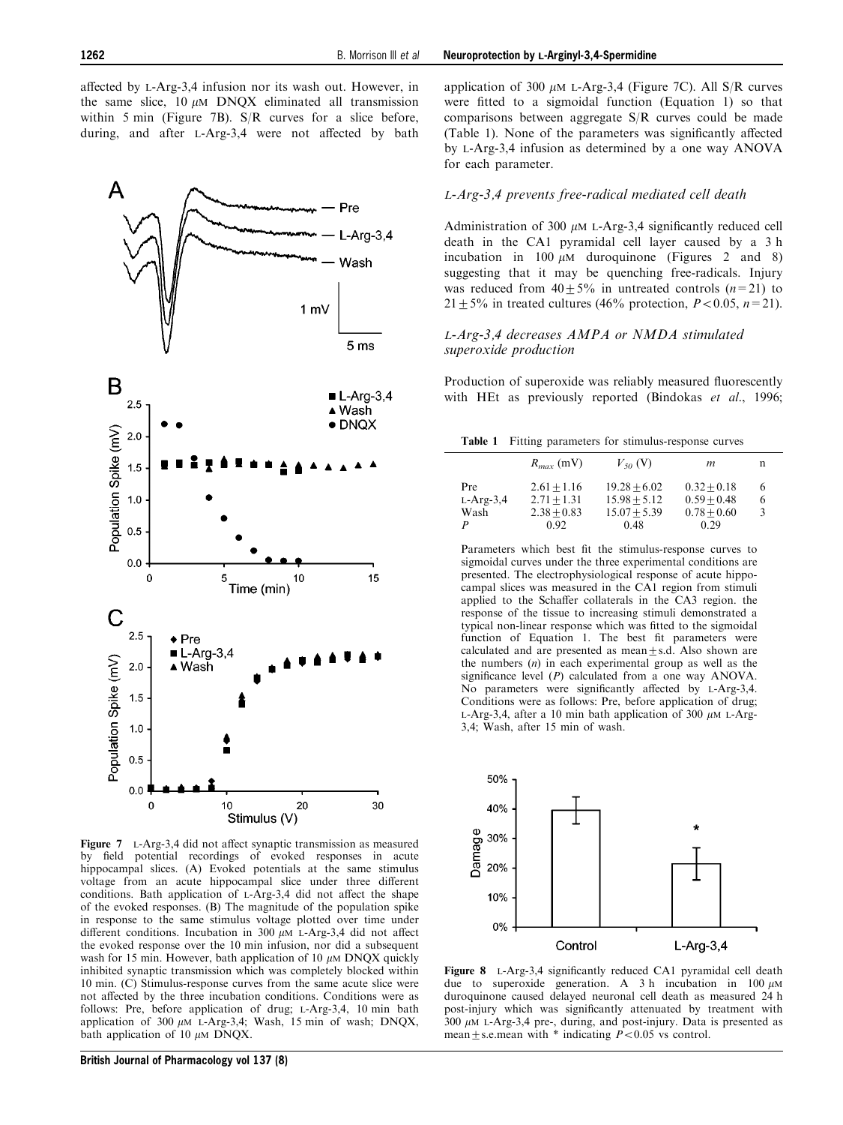<span id="page-7-0"></span>affected by L-Arg-3.4 infusion nor its wash out. However, in the same slice,  $10 \mu M$  DNQX eliminated all transmission within 5 min (Figure 7B). S/R curves for a slice before, during, and after L-Arg-3,4 were not affected by bath



Figure  $7$  L-Arg-3,4 did not affect synaptic transmission as measured by field potential recordings of evoked responses in acute hippocampal slices. (A) Evoked potentials at the same stimulus voltage from an acute hippocampal slice under three different conditions. Bath application of  $L-Arg-3,4$  did not affect the shape of the evoked responses. (B) The magnitude of the population spike in response to the same stimulus voltage plotted over time under different conditions. Incubation in 300  $\mu$ M L-Arg-3,4 did not affect the evoked response over the 10 min infusion, nor did a subsequent wash for 15 min. However, bath application of 10  $\mu$ M DNQX quickly inhibited synaptic transmission which was completely blocked within 10 min. (C) Stimulus-response curves from the same acute slice were not affected by the three incubation conditions. Conditions were as follows: Pre, before application of drug; L-Arg-3,4, 10 min bath application of 300  $\mu$ M L-Arg-3,4; Wash, 15 min of wash; DNQX, bath application of 10  $\mu$ M DNQX.

application of 300  $\mu$ M L-Arg-3.4 (Figure 7C). All S/R curves were fitted to a sigmoidal function (Equation 1) so that comparisons between aggregate S/R curves could be made (Table 1). None of the parameters was significantly affected by L-Arg-3,4 infusion as determined by a one way ANOVA for each parameter.

#### L-Arg-3,4 prevents free-radical mediated cell death

Administration of 300  $\mu$ M L-Arg-3,4 significantly reduced cell death in the CA1 pyramidal cell layer caused by a 3 h incubation in 100  $\mu$ M duroquinone (Figures 2 and 8) suggesting that it may be quenching free-radicals. Injury was reduced from  $40+5\%$  in untreated controls  $(n=21)$  to  $21+5\%$  in treated cultures (46% protection,  $P<0.05$ ,  $n=21$ ).

## L-Arg-3,4 decreases AMPA or NMDA stimulated superoxide production

Production of superoxide was reliably measured fluorescently with HEt as previously reported ([Bindokas](#page-12-0) [et al](#page-12-0)[., 1996](#page-12-0);

|  |  |  |  | Table 1 Fitting parameters for stimulus-response curves |  |  |
|--|--|--|--|---------------------------------------------------------|--|--|
|--|--|--|--|---------------------------------------------------------|--|--|

|                            | $R_{max}$ (mV)                                          | $V_{50}$ (V)                                               | m                                                       | n           |
|----------------------------|---------------------------------------------------------|------------------------------------------------------------|---------------------------------------------------------|-------------|
| Pre<br>$L-Arg-3,4$<br>Wash | $2.61 + 1.16$<br>$2.71 + 1.31$<br>$2.38 + 0.83$<br>0.92 | $19.28 + 6.02$<br>$15.98 + 5.12$<br>$15.07 + 5.39$<br>0.48 | $0.32 + 0.18$<br>$0.59 + 0.48$<br>$0.78 + 0.60$<br>0.29 | 6<br>6<br>3 |

Parameters which best fit the stimulus-response curves to sigmoidal curves under the three experimental conditions are presented. The electrophysiological response of acute hippocampal slices was measured in the CA1 region from stimuli applied to the Schaffer collaterals in the CA3 region. the response of the tissue to increasing stimuli demonstrated a typical non-linear response which was fitted to the sigmoidal function of Equation 1. The best fit parameters were calculated and are presented as mean $\pm$ s.d. Also shown are the numbers  $(n)$  in each experimental group as well as the significance level  $(P)$  calculated from a one way ANOVA. No parameters were significantly affected by L-Arg-3,4. Conditions were as follows: Pre, before application of drug; L-Arg-3,4, after a 10 min bath application of 300  $\mu$ M L-Arg-3,4; Wash, after 15 min of wash.



Figure 8 L-Arg-3,4 significantly reduced CA1 pyramidal cell death due to superoxide generation. A 3 h incubation in  $100 \mu M$ duroquinone caused delayed neuronal cell death as measured 24 h post-injury which was significantly attenuated by treatment with  $300 \mu M$  L-Arg-3,4 pre-, during, and post-injury. Data is presented as mean  $\pm$  s.e.mean with  $*$  indicating  $P < 0.05$  vs control.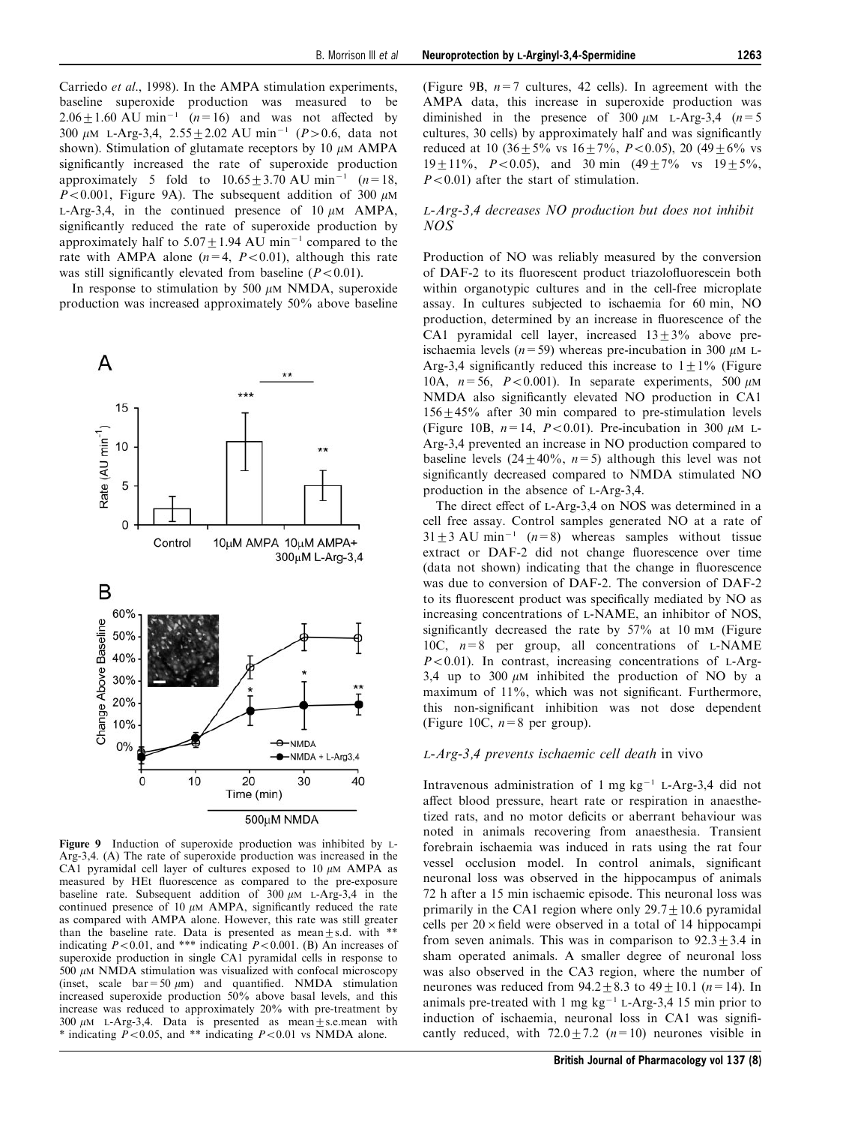[Carriedo](#page-12-0) [et al](#page-12-0)[., 1998](#page-12-0)). In the AMPA stimulation experiments, baseline superoxide production was measured to be  $2.06 \pm 1.60$  AU min<sup>-1</sup> (n=16) and was not affected by 300  $\mu$ M L-Arg-3,4, 2.55 + 2.02 AU min<sup>-1</sup> (P > 0.6, data not shown). Stimulation of glutamate receptors by 10  $\mu$ M AMPA significantly increased the rate of superoxide production approximately 5 fold to  $10.65 \pm 3.70$  AU min<sup>-1</sup> (n=18,  $P<0.001$ , Figure 9A). The subsequent addition of 300  $\mu$ M L-Arg-3,4, in the continued presence of 10  $\mu$ M AMPA, significantly reduced the rate of superoxide production by approximately half to  $5.07 \pm 1.94$  AU min<sup>-1</sup> compared to the rate with AMPA alone  $(n=4, P<0.01)$ , although this rate was still significantly elevated from baseline  $(P<0.01)$ .

In response to stimulation by 500  $\mu$ M NMDA, superoxide production was increased approximately 50% above baseline



Figure 9 Induction of superoxide production was inhibited by L-Arg-3,4. (A) The rate of superoxide production was increased in the CA1 pyramidal cell layer of cultures exposed to 10  $\mu$ M AMPA as measured by HEt fluorescence as compared to the pre-exposure baseline rate. Subsequent addition of  $300 \mu M$  L-Arg-3,4 in the continued presence of 10  $\mu$ M AMPA, significantly reduced the rate as compared with AMPA alone. However, this rate was still greater than the baseline rate. Data is presented as mean $\pm$ s.d. with \*\* indicating  $P<0.01$ , and \*\*\* indicating  $P<0.001$ . (B) An increases of superoxide production in single CA1 pyramidal cells in response to  $500 \mu$ M NMDA stimulation was visualized with confocal microscopy (inset, scale  $bar=50 \mu m$ ) and quantified. NMDA stimulation increased superoxide production 50% above basal levels, and this increase was reduced to approximately 20% with pre-treatment by 300  $\mu$ M L-Arg-3,4. Data is presented as mean  $\pm$  s.e.mean with \* indicating  $P<0.05$ , and \*\* indicating  $P<0.01$  vs NMDA alone.

(Figure 9B,  $n=7$  cultures, 42 cells). In agreement with the AMPA data, this increase in superoxide production was diminished in the presence of 300  $\mu$ M L-Arg-3,4 (n=5) cultures, 30 cells) by approximately half and was significantly reduced at 10 (36  $\pm$  5% vs 16  $\pm$  7%, P < 0.05), 20 (49  $\pm$  6% vs  $19+11\%$ ,  $P<0.05$ ), and 30 min  $(49+7\%$  vs  $19+5\%$ ,  $P<0.01$ ) after the start of stimulation.

#### L-Arg-3,4 decreases NO production but does not inhibit NOS

Production of NO was reliably measured by the conversion of DAF-2 to its fluorescent product triazolofluorescein both within organotypic cultures and in the cell-free microplate assay. In cultures subjected to ischaemia for 60 min, NO production, determined by an increase in fluorescence of the CA1 pyramidal cell layer, increased  $13\pm3\%$  above preischaemia levels ( $n=59$ ) whereas pre-incubation in 300  $\mu$ M L-Arg-3,4 significantly reduced this increase to  $1 \pm 1\%$  ([Figure](#page-9-0) [10A,](#page-9-0)  $n=56$ ,  $P<0.001$ ). In separate experiments, 500  $\mu$ M NMDA also significantly elevated NO production in CA1 156+45% after 30 min compared to pre-stimulation levels (Figure 10B,  $n=14$ ,  $P<0.01$ ). Pre-incubation in 300  $\mu$ M L-Arg-3,4 prevented an increase in NO production compared to baseline levels  $(24 \pm 40\%, n=5)$  although this level was not significantly decreased compared to NMDA stimulated NO production in the absence of L-Arg-3,4.

The direct effect of L-Arg-3,4 on NOS was determined in a cell free assay. Control samples generated NO at a rate of  $31+3$  AU min<sup>-1</sup> (n=8) whereas samples without tissue extract or DAF-2 did not change fluorescence over time (data not shown) indicating that the change in fluorescence was due to conversion of DAF-2. The conversion of DAF-2 to its fluorescent product was specifically mediated by NO as increasing concentrations of L-NAME, an inhibitor of NOS, significantly decreased the rate by  $57\%$  at 10 mM (Figure 10C,  $n=8$  per group, all concentrations of L-NAME  $P<0.01$ ). In contrast, increasing concentrations of L-Arg-3,4 up to 300  $\mu$ M inhibited the production of NO by a maximum of 11%, which was not significant. Furthermore, this non-significant inhibition was not dose dependent (Figure 10C,  $n=8$  per group).

#### L-Arg-3,4 prevents ischaemic cell death in vivo

Intravenous administration of 1 mg  $kg^{-1}$  L-Arg-3,4 did not affect blood pressure, heart rate or respiration in anaesthetized rats, and no motor deficits or aberrant behaviour was noted in animals recovering from anaesthesia. Transient forebrain ischaemia was induced in rats using the rat four vessel occlusion model. In control animals, significant neuronal loss was observed in the hippocampus of animals 72 h after a 15 min ischaemic episode. This neuronal loss was primarily in the CA1 region where only  $29.7 \pm 10.6$  pyramidal cells per  $20 \times$  field were observed in a total of 14 hippocampi from seven animals. This was in comparison to  $92.3 \pm 3.4$  in sham operated animals. A smaller degree of neuronal loss was also observed in the CA3 region, where the number of neurones was reduced from  $94.2 \pm 8.3$  to  $49 \pm 10.1$  ( $n=14$ ). In animals pre-treated with 1 mg  $kg^{-1}$  L-Arg-3,4 15 min prior to induction of ischaemia, neuronal loss in CA1 was significantly reduced, with  $72.0 \pm 7.2$  ( $n=10$ ) neurones visible in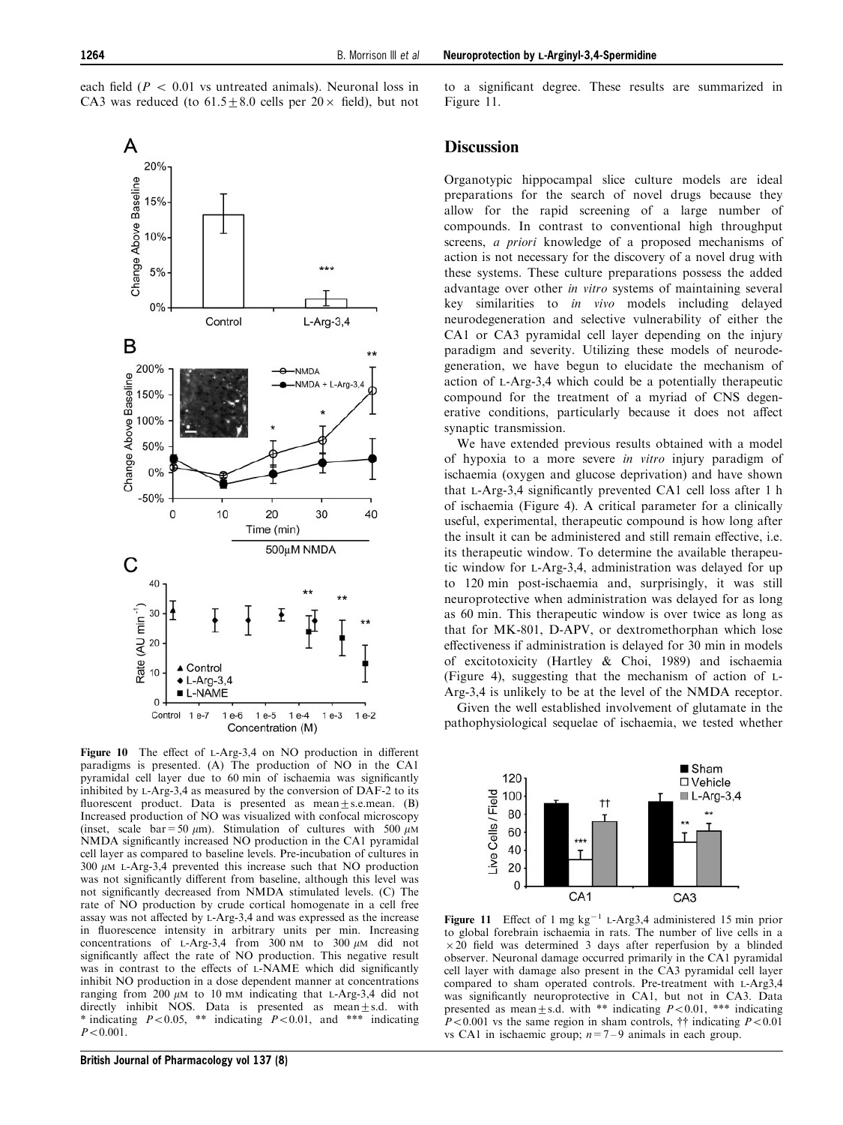<span id="page-9-0"></span>each field ( $P < 0.01$  vs untreated animals). Neuronal loss in CA3 was reduced (to  $61.5 \pm 8.0$  cells per  $20 \times$  field), but not



Figure 10 The effect of L-Arg-3,4 on NO production in different paradigms is presented. (A) The production of NO in the CA1 pyramidal cell layer due to 60 min of ischaemia was significantly inhibited by L-Arg-3,4 as measured by the conversion of DAF-2 to its fluorescent product. Data is presented as mean $\pm$ s.e.mean. (B) Increased production of NO was visualized with confocal microscopy (inset, scale bar = 50  $\mu$ m). Stimulation of cultures with 500  $\mu$ M NMDA significantly increased NO production in the CA1 pyramidal cell layer as compared to baseline levels. Pre-incubation of cultures in  $300 \mu M$  L-Arg-3,4 prevented this increase such that NO production was not significantly different from baseline, although this level was not significantly decreased from NMDA stimulated levels. (C) The rate of NO production by crude cortical homogenate in a cell free assay was not affected by L-Arg-3,4 and was expressed as the increase in fluorescence intensity in arbitrary units per min. Increasing concentrations of L-Arg-3,4 from  $300 \text{ nm}$  to  $300 \mu\text{M}$  did not significantly affect the rate of NO production. This negative result was in contrast to the effects of  $L$ -NAME which did significantly inhibit NO production in a dose dependent manner at concentrations ranging from 200  $\mu$ M to 10 mM indicating that L-Arg-3,4 did not directly inhibit NOS. Data is presented as mean $\pm$ s.d. with \* indicating  $P<0.05$ , \*\* indicating  $P<0.01$ , and \*\*\* indicating  $P < 0.001$ .

to a significant degree. These results are summarized in Figure 11.

## **Discussion**

Organotypic hippocampal slice culture models are ideal preparations for the search of novel drugs because they allow for the rapid screening of a large number of compounds. In contrast to conventional high throughput screens, a priori knowledge of a proposed mechanisms of action is not necessary for the discovery of a novel drug with these systems. These culture preparations possess the added advantage over other in vitro systems of maintaining several key similarities to in vivo models including delayed neurodegeneration and selective vulnerability of either the CA1 or CA3 pyramidal cell layer depending on the injury paradigm and severity. Utilizing these models of neurodegeneration, we have begun to elucidate the mechanism of action of L-Arg-3,4 which could be a potentially therapeutic compound for the treatment of a myriad of CNS degenerative conditions, particularly because it does not affect synaptic transmission.

We have extended previous results obtained with a model of hypoxia to a more severe in vitro injury paradigm of ischaemia (oxygen and glucose deprivation) and have shown that L-Arg-3,4 significantly prevented CA1 cell loss after 1 h of ischaemia (Figure 4). A critical parameter for a clinically useful, experimental, therapeutic compound is how long after the insult it can be administered and still remain effective, i.e. its therapeutic window. To determine the available therapeutic window for L-Arg-3,4, administration was delayed for up to 120 min post-ischaemia and, surprisingly, it was still neuroprotective when administration was delayed for as long as 60 min. This therapeutic window is over twice as long as that for MK-801, D-APV, or dextromethorphan which lose effectiveness if administration is delayed for 30 min in models of excitotoxicity [\(Hartley & Choi, 1989\)](#page-12-0) and ischaemia (Figure 4), suggesting that the mechanism of action of L-Arg-3,4 is unlikely to be at the level of the NMDA receptor.

Given the well established involvement of glutamate in the pathophysiological sequelae of ischaemia, we tested whether



Figure 11 Effect of 1 mg  $kg^{-1}$  L-Arg3,4 administered 15 min prior to global forebrain ischaemia in rats. The number of live cells in a  $\times$  20 field was determined 3 days after reperfusion by a blinded observer. Neuronal damage occurred primarily in the CA1 pyramidal cell layer with damage also present in the CA3 pyramidal cell layer compared to sham operated controls. Pre-treatment with L-Arg3,4 was significantly neuroprotective in CA1, but not in CA3. Data presented as mean+s.d. with \*\* indicating  $P<0.01$ , \*\*\* indicating  $P<0.001$  vs the same region in sham controls,  $\dagger\dagger$  indicating  $P<0.01$ vs CA1 in ischaemic group;  $n=7-9$  animals in each group.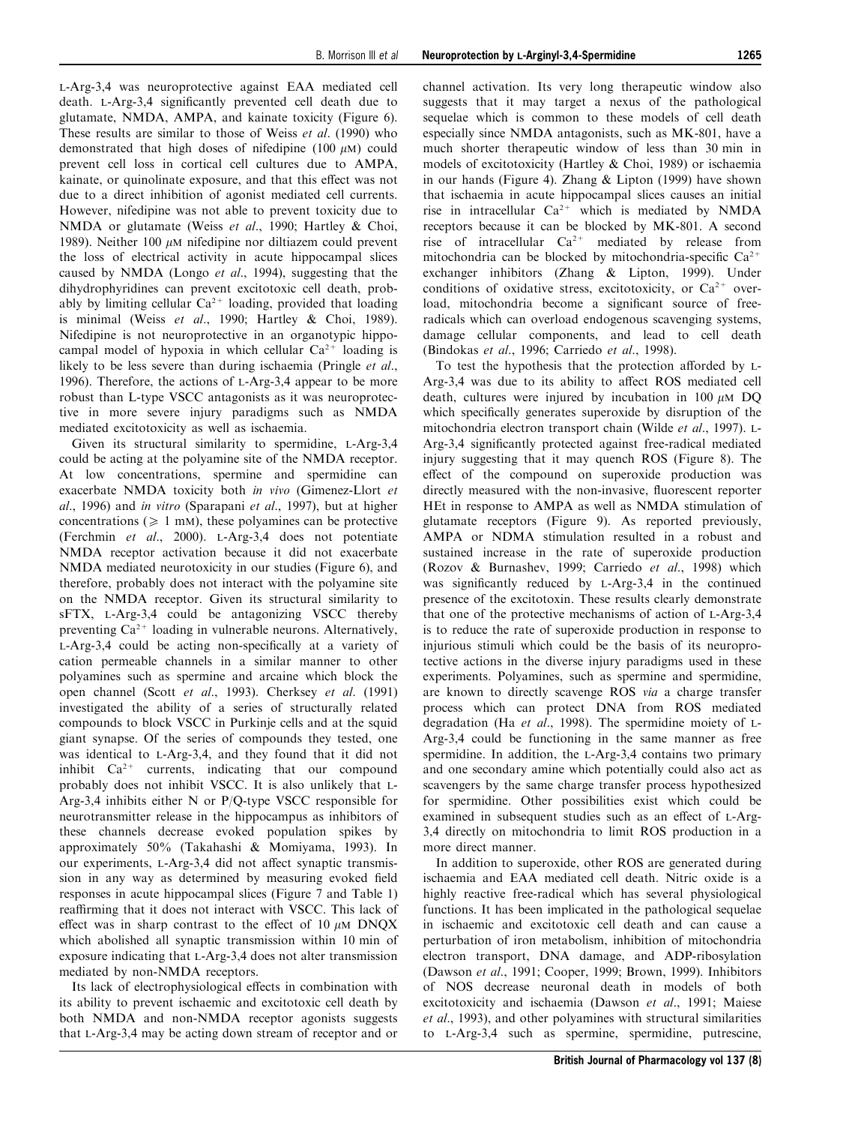L-Arg-3,4 was neuroprotective against EAA mediated cell death. L-Arg-3,4 significantly prevented cell death due to glutamate, NMDA, AMPA, and kainate toxicity (Figure 6). These results are similar to those of [Weiss](#page-12-0) [et al](#page-12-0)[. \(1990\)](#page-12-0) who demonstrated that high doses of nifedipine (100  $\mu$ M) could prevent cell loss in cortical cell cultures due to AMPA, kainate, or quinolinate exposure, and that this effect was not due to a direct inhibition of agonist mediated cell currents. However, nifedipine was not able to prevent toxicity due to NMDA or glutamate [\(Weiss](#page-12-0) [et al](#page-12-0)[., 1990; Hartley & Choi,](#page-12-0) [1989\)](#page-12-0). Neither 100  $\mu$ M nifedipine nor diltiazem could prevent the loss of electrical activity in acute hippocampal slices caused by NMDA ([Longo](#page-12-0) [et al](#page-12-0)[., 1994\)](#page-12-0), suggesting that the dihydrophyridines can prevent excitotoxic cell death, probably by limiting cellular  $Ca^{2+}$  loading, provided that loading is minimal ([Weiss](#page-12-0) [et al](#page-12-0)[., 1990; Hartley & Choi, 1989\)](#page-12-0). Nifedipine is not neuroprotective in an organotypic hippocampal model of hypoxia in which cellular  $Ca^{2+}$  loading is likely to be less severe than during ischaemia ([Pringle](#page-12-0) [et al](#page-12-0)[.,](#page-12-0) [1996\)](#page-12-0). Therefore, the actions of L-Arg-3,4 appear to be more robust than L-type VSCC antagonists as it was neuroprotective in more severe injury paradigms such as NMDA mediated excitotoxicity as well as ischaemia.

Given its structural similarity to spermidine, L-Arg-3,4 could be acting at the polyamine site of the NMDA receptor. At low concentrations, spermine and spermidine can exacerbate NMDA toxicity both in vivo (Gimenez-Llort et al., 1996) and in vitro ([Sparapani](#page-12-0) [et al](#page-12-0)[., 1997](#page-12-0)), but at higher concentrations ( $\geq 1$  mM), these polyamines can be protective ([Ferchmin](#page-12-0) [et al](#page-12-0)[., 2000](#page-12-0)). L-Arg-3,4 does not potentiate NMDA receptor activation because it did not exacerbate NMDA mediated neurotoxicity in our studies (Figure 6), and therefore, probably does not interact with the polyamine site on the NMDA receptor. Given its structural similarity to sFTX, L-Arg-3,4 could be antagonizing VSCC thereby preventing  $Ca^{2+}$  loading in vulnerable neurons. Alternatively, L-Arg-3,4 could be acting non-specifically at a variety of cation permeable channels in a similar manner to other polyamines such as spermine and arcaine which block the open channel [\(Scott](#page-12-0) [et al](#page-12-0)[., 1993\)](#page-12-0). [Cherksey](#page-12-0) [et al](#page-12-0)[. \(1991\)](#page-12-0) investigated the ability of a series of structurally related compounds to block VSCC in Purkinje cells and at the squid giant synapse. Of the series of compounds they tested, one was identical to L-Arg-3,4, and they found that it did not inhibit  $Ca^{2+}$  currents, indicating that our compound probably does not inhibit VSCC. It is also unlikely that L-Arg-3,4 inhibits either N or P/Q-type VSCC responsible for neurotransmitter release in the hippocampus as inhibitors of these channels decrease evoked population spikes by approximately 50% ([Takahashi & Momiyama, 1993\)](#page-12-0). In our experiments, L-Arg-3,4 did not affect synaptic transmission in any way as determined by measuring evoked field responses in acute hippocampal slices (Figure 7 and Table 1) reaffirming that it does not interact with VSCC. This lack of effect was in sharp contrast to the effect of 10  $\mu$ M DNQX which abolished all synaptic transmission within 10 min of exposure indicating that L-Arg-3,4 does not alter transmission mediated by non-NMDA receptors.

Its lack of electrophysiological effects in combination with its ability to prevent ischaemic and excitotoxic cell death by both NMDA and non-NMDA receptor agonists suggests that L-Arg-3,4 may be acting down stream of receptor and or

channel activation. Its very long therapeutic window also suggests that it may target a nexus of the pathological sequelae which is common to these models of cell death especially since NMDA antagonists, such as MK-801, have a much shorter therapeutic window of less than 30 min in models of excitotoxicity ([Hartley & Choi, 1989\)](#page-12-0) or ischaemia in our hands (Figure 4). [Zhang & Lipton \(1999\)](#page-13-0) have shown that ischaemia in acute hippocampal slices causes an initial rise in intracellular  $Ca^{2+}$  which is mediated by NMDA receptors because it can be blocked by MK-801. A second rise of intracellular  $Ca^{2+}$  mediated by release from mitochondria can be blocked by mitochondria-specific  $Ca^{2+}$ exchanger inhibitors ([Zhang & Lipton, 1999](#page-13-0)). Under conditions of oxidative stress, excitotoxicity, or  $Ca^{2+}$  overload, mitochondria become a significant source of freeradicals which can overload endogenous scavenging systems, damage cellular components, and lead to cell death ([Bindokas](#page-12-0) [et al](#page-12-0)[., 1996](#page-12-0); [Carriedo](#page-12-0) [et al](#page-12-0)[., 1998\)](#page-12-0).

To test the hypothesis that the protection afforded by L-Arg-3,4 was due to its ability to affect ROS mediated cell death, cultures were injured by incubation in 100  $\mu$ M DQ which specifically generates superoxide by disruption of the mitochondria electron transport chain [\(Wilde](#page-13-0) [et al](#page-13-0)[., 1997\)](#page-13-0). L-Arg-3,4 significantly protected against free-radical mediated injury suggesting that it may quench ROS (Figure 8). The effect of the compound on superoxide production was directly measured with the non-invasive, fluorescent reporter HEt in response to AMPA as well as NMDA stimulation of glutamate receptors (Figure 9). As reported previously, AMPA or NDMA stimulation resulted in a robust and sustained increase in the rate of superoxide production ([Rozov & Burnashev, 1999; Carriedo](#page-12-0) [et al](#page-12-0)[., 1998\)](#page-12-0) which was significantly reduced by L-Arg-3,4 in the continued presence of the excitotoxin. These results clearly demonstrate that one of the protective mechanisms of action of L-Arg-3,4 is to reduce the rate of superoxide production in response to injurious stimuli which could be the basis of its neuroprotective actions in the diverse injury paradigms used in these experiments. Polyamines, such as spermine and spermidine, are known to directly scavenge ROS via a charge transfer process which can protect DNA from ROS mediated degradation [\(Ha](#page-12-0) [et al](#page-12-0)[., 1998](#page-12-0)). The spermidine moiety of L-Arg-3,4 could be functioning in the same manner as free spermidine. In addition, the L-Arg-3,4 contains two primary and one secondary amine which potentially could also act as scavengers by the same charge transfer process hypothesized for spermidine. Other possibilities exist which could be examined in subsequent studies such as an effect of L-Arg-3,4 directly on mitochondria to limit ROS production in a more direct manner.

In addition to superoxide, other ROS are generated during ischaemia and EAA mediated cell death. Nitric oxide is a highly reactive free-radical which has several physiological functions. It has been implicated in the pathological sequelae in ischaemic and excitotoxic cell death and can cause a perturbation of iron metabolism, inhibition of mitochondria electron transport, DNA damage, and ADP-ribosylation ([Dawson](#page-12-0) [et al](#page-12-0)[., 1991](#page-12-0); [Cooper, 1999; Brown, 1999\)](#page-12-0). Inhibitors of NOS decrease neuronal death in models of both excitotoxicity and ischaemia [\(Dawson](#page-12-0) [et al](#page-12-0)[., 1991](#page-12-0); [Maiese](#page-12-0) [et al](#page-12-0)[., 1993](#page-12-0)), and other polyamines with structural similarities to L-Arg-3,4 such as spermine, spermidine, putrescine,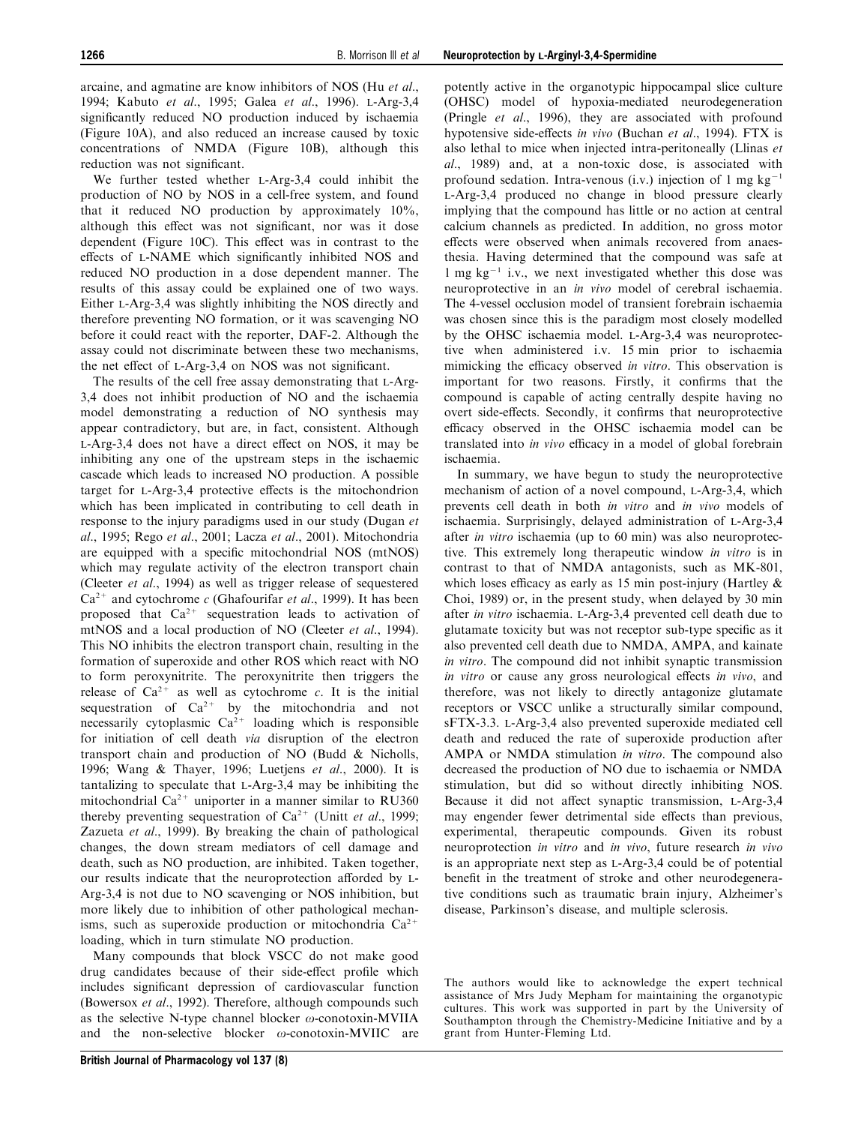arcaine, and agmatine are know inhibitors of NOS [\(Hu](#page-12-0) [et al](#page-12-0)[.,](#page-12-0) [1994; Kabuto](#page-12-0) [et al](#page-12-0)[., 1995; Galea](#page-12-0) [et al](#page-12-0)[., 1996](#page-12-0)). L-Arg-3,4 significantly reduced NO production induced by ischaemia (Figure 10A), and also reduced an increase caused by toxic concentrations of NMDA (Figure 10B), although this reduction was not significant.

We further tested whether L-Arg-3,4 could inhibit the production of NO by NOS in a cell-free system, and found that it reduced NO production by approximately 10%, although this effect was not significant, nor was it dose dependent (Figure  $10C$ ). This effect was in contrast to the effects of L-NAME which significantly inhibited NOS and reduced NO production in a dose dependent manner. The results of this assay could be explained one of two ways. Either L-Arg-3,4 was slightly inhibiting the NOS directly and therefore preventing NO formation, or it was scavenging NO before it could react with the reporter, DAF-2. Although the assay could not discriminate between these two mechanisms, the net effect of L-Arg-3,4 on NOS was not significant.

The results of the cell free assay demonstrating that L-Arg-3,4 does not inhibit production of NO and the ischaemia model demonstrating a reduction of NO synthesis may appear contradictory, but are, in fact, consistent. Although L-Arg-3,4 does not have a direct effect on NOS, it may be inhibiting any one of the upstream steps in the ischaemic cascade which leads to increased NO production. A possible target for L-Arg-3,4 protective effects is the mitochondrion which has been implicated in contributing to cell death in response to the injury paradigms used in our study ([Dugan](#page-12-0) [et](#page-12-0) [al](#page-12-0)[., 1995](#page-12-0); [Rego](#page-12-0) [et al](#page-12-0)[., 2001; Lacza](#page-12-0) [et al](#page-12-0)[., 2001](#page-12-0)). Mitochondria are equipped with a specific mitochondrial NOS (mtNOS) which may regulate activity of the electron transport chain ([Cleeter](#page-12-0) [et al](#page-12-0)[., 1994](#page-12-0)) as well as trigger release of sequestered  $Ca^{2+}$  and cytochrome c ([Ghafourifar](#page-12-0) [et al](#page-12-0)[., 1999](#page-12-0)). It has been proposed that  $Ca^{2+}$  sequestration leads to activation of mtNOS and a local production of NO [\(Cleeter](#page-12-0) [et al](#page-12-0)[., 1994](#page-12-0)). This NO inhibits the electron transport chain, resulting in the formation of superoxide and other ROS which react with NO to form peroxynitrite. The peroxynitrite then triggers the release of  $Ca^{2+}$  as well as cytochrome c. It is the initial sequestration of  $Ca^{2+}$  by the mitochondria and not necessarily cytoplasmic  $Ca^{2+}$  loading which is responsible for initiation of cell death via disruption of the electron transport chain and production of NO [\(Budd & Nicholls,](#page-12-0) [1996; Wang & Thayer, 1996](#page-12-0); [Luetjens](#page-12-0) [et al](#page-12-0)[., 2000\)](#page-12-0). It is tantalizing to speculate that L-Arg-3,4 may be inhibiting the mitochondrial  $Ca^{2+}$  uniporter in a manner similar to RU360 thereby preventing sequestration of  $Ca^{2+}$  [\(Unitt](#page-12-0) *[et al](#page-12-0).*, 1999; [Zazueta](#page-13-0) [et al](#page-13-0)[., 1999\)](#page-13-0). By breaking the chain of pathological changes, the down stream mediators of cell damage and death, such as NO production, are inhibited. Taken together, our results indicate that the neuroprotection afforded by L-Arg-3,4 is not due to NO scavenging or NOS inhibition, but more likely due to inhibition of other pathological mechanisms, such as superoxide production or mitochondria  $Ca^{2+}$ loading, which in turn stimulate NO production.

Many compounds that block VSCC do not make good drug candidates because of their side-effect profile which includes significant depression of cardiovascular function ([Bowersox](#page-12-0) [et al](#page-12-0)[., 1992\)](#page-12-0). Therefore, although compounds such as the selective N-type channel blocker  $\omega$ -conotoxin-MVIIA and the non-selective blocker  $\omega$ -conotoxin-MVIIC are potently active in the organotypic hippocampal slice culture (OHSC) model of hypoxia-mediated neurodegeneration ([Pringle](#page-12-0) [et al](#page-12-0)[., 1996](#page-12-0)), they are associated with profound hypotensive side-effects in vivo (Buchan et al., 1994). FTX is also lethal to mice when injected intra-peritoneally ([Llinas](#page-12-0) [et](#page-12-0) [al](#page-12-0)[., 1989](#page-12-0)) and, at a non-toxic dose, is associated with profound sedation. Intra-venous (i.v.) injection of 1 mg  $kg^{-1}$ L-Arg-3,4 produced no change in blood pressure clearly implying that the compound has little or no action at central calcium channels as predicted. In addition, no gross motor effects were observed when animals recovered from anaesthesia. Having determined that the compound was safe at 1 mg  $kg^{-1}$  i.v., we next investigated whether this dose was neuroprotective in an in vivo model of cerebral ischaemia. The 4-vessel occlusion model of transient forebrain ischaemia was chosen since this is the paradigm most closely modelled by the OHSC ischaemia model. L-Arg-3,4 was neuroprotective when administered i.v. 15 min prior to ischaemia mimicking the efficacy observed in vitro. This observation is important for two reasons. Firstly, it confirms that the compound is capable of acting centrally despite having no overt side-effects. Secondly, it confirms that neuroprotective efficacy observed in the OHSC ischaemia model can be translated into in vivo efficacy in a model of global forebrain ischaemia.

In summary, we have begun to study the neuroprotective mechanism of action of a novel compound, L-Arg-3,4, which prevents cell death in both in vitro and in vivo models of ischaemia. Surprisingly, delayed administration of L-Arg-3,4 after in vitro ischaemia (up to 60 min) was also neuroprotective. This extremely long therapeutic window in vitro is in contrast to that of NMDA antagonists, such as MK-801, which loses efficacy as early as 15 min post-injury (Hartley  $\&$ [Choi, 1989\)](#page-12-0) or, in the present study, when delayed by 30 min after in vitro ischaemia. L-Arg-3,4 prevented cell death due to glutamate toxicity but was not receptor sub-type specific as it also prevented cell death due to NMDA, AMPA, and kainate in vitro. The compound did not inhibit synaptic transmission in vitro or cause any gross neurological effects in vivo, and therefore, was not likely to directly antagonize glutamate receptors or VSCC unlike a structurally similar compound, sFTX-3.3. L-Arg-3,4 also prevented superoxide mediated cell death and reduced the rate of superoxide production after AMPA or NMDA stimulation in vitro. The compound also decreased the production of NO due to ischaemia or NMDA stimulation, but did so without directly inhibiting NOS. Because it did not affect synaptic transmission, L-Arg-3.4 may engender fewer detrimental side effects than previous, experimental, therapeutic compounds. Given its robust neuroprotection in vitro and in vivo, future research in vivo is an appropriate next step as L-Arg-3,4 could be of potential benefit in the treatment of stroke and other neurodegenerative conditions such as traumatic brain injury, Alzheimer's disease, Parkinson's disease, and multiple sclerosis.

The authors would like to acknowledge the expert technical assistance of Mrs Judy Mepham for maintaining the organotypic cultures. This work was supported in part by the University of Southampton through the Chemistry-Medicine Initiative and by a grant from Hunter-Fleming Ltd.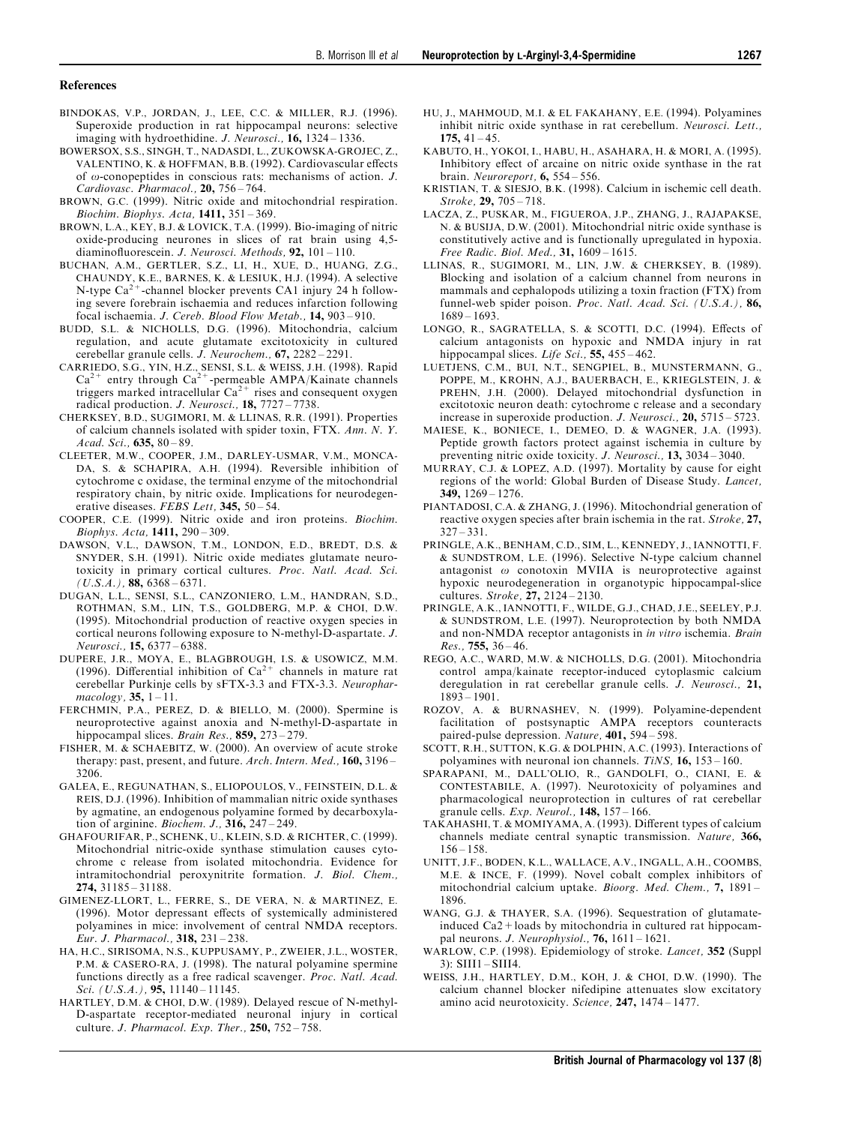#### <span id="page-12-0"></span>References

- BINDOKAS, V.P., JORDAN, J., LEE, C.C. & MILLER, R.J. (1996). Superoxide production in rat hippocampal neurons: selective imaging with hydroethidine. *J. Neurosci.*, **16**,  $1324 - 1336$ .
- BOWERSOX, S.S., SINGH, T., NADASDI, L., ZUKOWSKA-GROJEC, Z., VALENTINO, K. & HOFFMAN, B.B. (1992). Cardiovascular effects of  $\omega$ -conopeptides in conscious rats: mechanisms of action. *J*. Cardiovasc. Pharmacol.,  $20$ ,  $756 - 764$ .
- BROWN, G.C. (1999). Nitric oxide and mitochondrial respiration. Biochim. Biophys. Acta,  $1411, 351 - 369$ .
- BROWN, L.A., KEY, B.J. & LOVICK, T.A. (1999). Bio-imaging of nitric oxide-producing neurones in slices of rat brain using 4,5 diaminofluorescein. J. Neurosci. Methods,  $92$ ,  $101 - 110$ .
- BUCHAN, A.M., GERTLER, S.Z., LI, H., XUE, D., HUANG, Z.G., CHAUNDY, K.E., BARNES, K. & LESIUK, H.J. (1994). A selective  $N$ -type  $Ca^{2+}$ -channel blocker prevents CA1 injury 24 h following severe forebrain ischaemia and reduces infarction following focal ischaemia. J. Cereb. Blood Flow Metab., 14, 903-910.
- BUDD, S.L. & NICHOLLS, D.G. (1996). Mitochondria, calcium regulation, and acute glutamate excitotoxicity in cultured cerebellar granule cells. *J. Neurochem.*,  $67$ ,  $2282 - 2291$ .
- CARRIEDO, S.G., YIN, H.Z., SENSI, S.L. & WEISS, J.H. (1998). Rapid  $Ca^{2+}$  entry through  $Ca^{2+}$ -permeable AMPA/Kainate channels triggers marked intracellular  $Ca^{2+}$  rises and consequent oxygen radical production. J. Neurosci.,  $18$ ,  $7727 - 7738$ .
- CHERKSEY, B.D., SUGIMORI, M. & LLINAS, R.R. (1991). Properties of calcium channels isolated with spider toxin, FTX. Ann. N. Y. Acad. Sci.,  $635, 80 - 89$ .
- CLEETER, M.W., COOPER, J.M., DARLEY-USMAR, V.M., MONCA-DA, S. & SCHAPIRA, A.H. (1994). Reversible inhibition of cytochrome c oxidase, the terminal enzyme of the mitochondrial respiratory chain, by nitric oxide. Implications for neurodegenerative diseases. FEBS Lett,  $345, 50 - 54$ .
- COOPER, C.E. (1999). Nitric oxide and iron proteins. Biochim.  $Biophys. Acta, 1411, 290 - 309.$
- DAWSON, V.L., DAWSON, T.M., LONDON, E.D., BREDT, D.S. & SNYDER, S.H. (1991). Nitric oxide mediates glutamate neurotoxicity in primary cortical cultures. Proc. Natl. Acad. Sci.  $(U.S.A.)$ , 88, 6368 – 6371.
- DUGAN, L.L., SENSI, S.L., CANZONIERO, L.M., HANDRAN, S.D., ROTHMAN, S.M., LIN, T.S., GOLDBERG, M.P. & CHOI, D.W. (1995). Mitochondrial production of reactive oxygen species in cortical neurons following exposure to N-methyl-D-aspartate. J. Neurosci., **15,** 6377 – 6388.
- DUPERE, J.R., MOYA, E., BLAGBROUGH, I.S. & USOWICZ, M.M. (1996). Differential inhibition of  $Ca^{2+}$  channels in mature rat cerebellar Purkinje cells by sFTX-3.3 and FTX-3.3. Neurophar $macology, 35, 1-11.$
- FERCHMIN, P.A., PEREZ, D. & BIELLO, M. (2000). Spermine is neuroprotective against anoxia and N-methyl-D-aspartate in hippocampal slices. Brain Res.,  $859$ ,  $273 - 279$ .
- FISHER, M. & SCHAEBITZ, W. (2000). An overview of acute stroke therapy: past, present, and future. Arch. Intern. Med., 160, 3196-3206.
- GALEA, E., REGUNATHAN, S., ELIOPOULOS, V., FEINSTEIN, D.L. & REIS, D.J. (1996). Inhibition of mammalian nitric oxide synthases by agmatine, an endogenous polyamine formed by decarboxylation of arginine. *Biochem. J.*,  $316$ ,  $247 - 249$ .
- GHAFOURIFAR, P., SCHENK, U., KLEIN, S.D. & RICHTER, C. (1999). Mitochondrial nitric-oxide synthase stimulation causes cytochrome c release from isolated mitochondria. Evidence for intramitochondrial peroxynitrite formation. J. Biol. Chem.,  $274, 31185 - 31188.$
- GIMENEZ-LLORT, L., FERRE, S., DE VERA, N. & MARTINEZ, E. (1996). Motor depressant effects of systemically administered polyamines in mice: involvement of central NMDA receptors. Eur. J. Pharmacol.,  $318$ ,  $231 - 238$ .
- HA, H.C., SIRISOMA, N.S., KUPPUSAMY, P., ZWEIER, J.L., WOSTER, P.M. & CASERO-RA, J. (1998). The natural polyamine spermine functions directly as a free radical scavenger. Proc. Natl. Acad. Sci. (U.S.A.), 95,  $11140 - 11145$ .
- HARTLEY, D.M. & CHOI, D.W. (1989). Delayed rescue of N-methyl-D-aspartate receptor-mediated neuronal injury in cortical culture. J. Pharmacol. Exp. Ther.,  $250$ ,  $752 - 758$ .
- HU, J., MAHMOUD, M.I. & EL FAKAHANY, E.E. (1994). Polyamines inhibit nitric oxide synthase in rat cerebellum. Neurosci. Lett., 175,  $41 - 45$ .
- KABUTO, H., YOKOI, I., HABU, H., ASAHARA, H. & MORI, A. (1995). Inhibitory effect of arcaine on nitric oxide synthase in the rat brain. Neuroreport,  $6, 554 - 556$ .
- KRISTIAN, T. & SIESJO, B.K. (1998). Calcium in ischemic cell death.  $Stroke$ , 29, 705  $-718$ .
- LACZA, Z., PUSKAR, M., FIGUEROA, J.P., ZHANG, J., RAJAPAKSE, N. & BUSIJA, D.W. (2001). Mitochondrial nitric oxide synthase is constitutively active and is functionally upregulated in hypoxia. Free Radic. Biol. Med.,  $31, 1609 - 1615$ .
- LLINAS, R., SUGIMORI, M., LIN, J.W. & CHERKSEY, B. (1989). Blocking and isolation of a calcium channel from neurons in mammals and cephalopods utilizing a toxin fraction (FTX) from funnel-web spider poison. Proc. Natl. Acad. Sci. (U.S.A.), 86,  $1689 - 1693$
- LONGO, R., SAGRATELLA, S. & SCOTTI, D.C. (1994). Effects of calcium antagonists on hypoxic and NMDA injury in rat hippocampal slices. Life Sci.,  $55, 455 - 462$ .
- LUETJENS, C.M., BUI, N.T., SENGPIEL, B., MUNSTERMANN, G., POPPE, M., KROHN, A.J., BAUERBACH, E., KRIEGLSTEIN, J. & PREHN, J.H. (2000). Delayed mitochondrial dysfunction in excitotoxic neuron death: cytochrome c release and a secondary increase in superoxide production. *J. Neurosci.*, **20**,  $5715 - 5723$ .
- MAIESE, K., BONIECE, I., DEMEO, D. & WAGNER, J.A. (1993). Peptide growth factors protect against ischemia in culture by preventing nitric oxide toxicity. J. Neurosci., 13, 3034 - 3040.
- MURRAY, C.J. & LOPEZ, A.D. (1997). Mortality by cause for eight regions of the world: Global Burden of Disease Study. Lancet, 349,  $1269 - 1276$ .
- PIANTADOSI, C.A. & ZHANG, J. (1996). Mitochondrial generation of reactive oxygen species after brain ischemia in the rat. Stroke, 27,  $327 - 331$ .
- PRINGLE, A.K., BENHAM, C.D., SIM, L., KENNEDY, J., IANNOTTI, F. & SUNDSTROM, L.E. (1996). Selective N-type calcium channel antagonist  $\omega$  conotoxin MVIIA is neuroprotective against hypoxic neurodegeneration in organotypic hippocampal-slice cultures. Stroke,  $27, 2124 - 2130$ .
- PRINGLE, A.K., IANNOTTI, F., WILDE, G.J., CHAD, J.E., SEELEY, P.J. & SUNDSTROM, L.E. (1997). Neuroprotection by both NMDA and non-NMDA receptor antagonists in in vitro ischemia. Brain  $Res.$ , 755, 36 – 46.
- REGO, A.C., WARD, M.W. & NICHOLLS, D.G. (2001). Mitochondria control ampa/kainate receptor-induced cytoplasmic calcium deregulation in rat cerebellar granule cells. J. Neurosci., 21,  $1893 - 1901.$
- ROZOV, A. & BURNASHEV, N. (1999). Polyamine-dependent facilitation of postsynaptic AMPA receptors counteracts paired-pulse depression. Nature, 401, 594 - 598.
- SCOTT, R.H., SUTTON, K.G. & DOLPHIN, A.C. (1993). Interactions of polyamines with neuronal ion channels. TiNS,  $16$ ,  $153 - 160$ .
- SPARAPANI, M., DALL'OLIO, R., GANDOLFI, O., CIANI, E. & CONTESTABILE, A. (1997). Neurotoxicity of polyamines and pharmacological neuroprotection in cultures of rat cerebellar granule cells.  $Exp.$  Neurol.,  $148$ ,  $157 - 166$ .
- TAKAHASHI, T. & MOMIYAMA, A. (1993). Different types of calcium channels mediate central synaptic transmission. Nature, 366,  $156 - 158$
- UNITT, J.F., BODEN, K.L., WALLACE, A.V., INGALL, A.H., COOMBS, M.E. & INCE, F. (1999). Novel cobalt complex inhibitors of mitochondrial calcium uptake. Bioorg. Med. Chem.,  $7, 1891 -$ 1896.
- WANG, G.J. & THAYER, S.A. (1996). Sequestration of glutamateinduced Ca2+loads by mitochondria in cultured rat hippocampal neurons. J. Neurophysiol.,  $76$ ,  $1611 - 1621$ .
- WARLOW, C.P. (1998). Epidemiology of stroke. Lancet, 352 (Suppl  $3$ : SIII $1 -$ SIII $4$ .
- WEISS, J.H., HARTLEY, D.M., KOH, J. & CHOI, D.W. (1990). The calcium channel blocker nifedipine attenuates slow excitatory amino acid neurotoxicity. Science,  $247$ ,  $1474 - 1477$ .